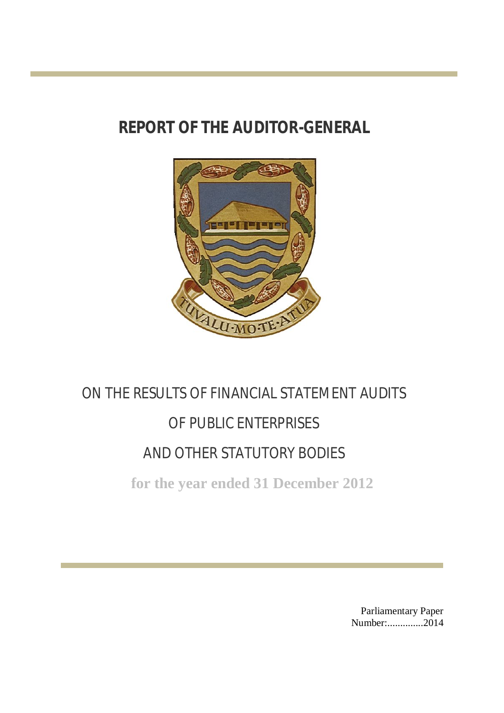# **REPORT OF THE AUDITOR-GENERAL**



# ON THE RESULTS OF FINANCIAL STATEMENT AUDITS OF PUBLIC ENTERPRISES AND OTHER STATUTORY BODIES

**for the year ended 31 December 2012**

Parliamentary Paper Number:................2014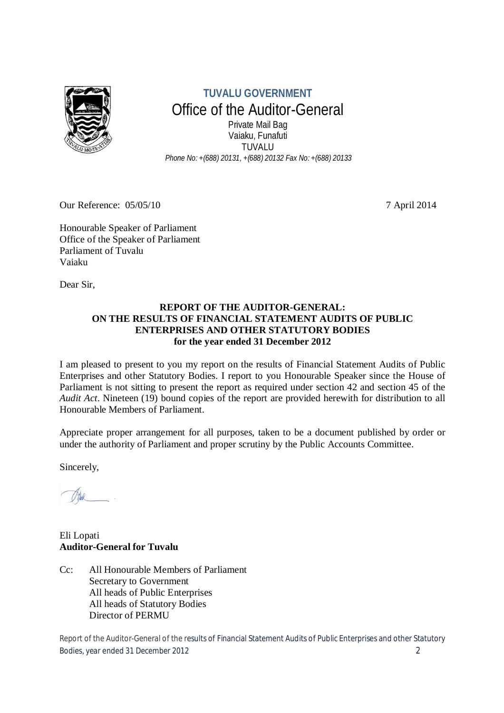

**TUVALU GOVERNMENT** Office of the Auditor-General Private Mail Bag Vaiaku, Funafuti TUVALU *Phone No: +(688) 20131, +(688) 20132 Fax No: +(688) 20133*

Our Reference: 05/05/10 7 April 2014

Honourable Speaker of Parliament Office of the Speaker of Parliament Parliament of Tuvalu Vaiaku

Dear Sir,

#### **REPORT OF THE AUDITOR-GENERAL: ON THE RESULTS OF FINANCIAL STATEMENT AUDITS OF PUBLIC ENTERPRISES AND OTHER STATUTORY BODIES for the year ended 31 December 2012**

I am pleased to present to you my report on the results of Financial Statement Audits of Public Enterprises and other Statutory Bodies. I report to you Honourable Speaker since the House of Parliament is not sitting to present the report as required under section 42 and section 45 of the *Audit Act*. Nineteen (19) bound copies of the report are provided herewith for distribution to all Honourable Members of Parliament.

Appreciate proper arrangement for all purposes, taken to be a document published by order or under the authority of Parliament and proper scrutiny by the Public Accounts Committee.

Sincerely,

Eli Lopati **Auditor-General for Tuvalu** 

Cc: All Honourable Members of Parliament Secretary to Government All heads of Public Enterprises All heads of Statutory Bodies Director of PERMU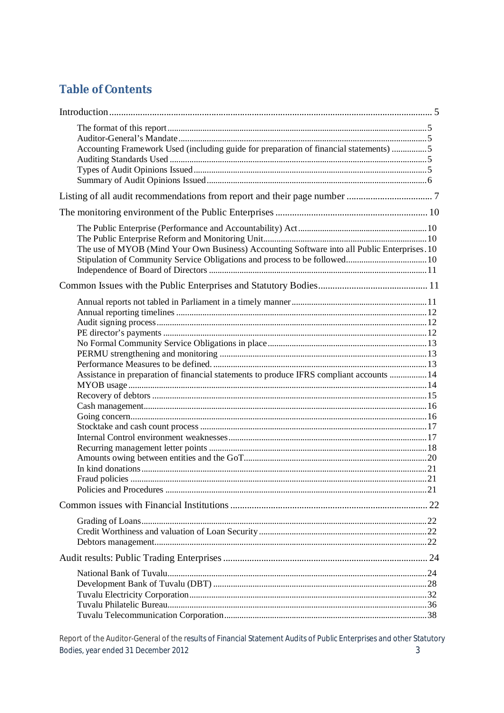### **Table of Contents**

| Accounting Framework Used (including guide for preparation of financial statements) 5        |  |
|----------------------------------------------------------------------------------------------|--|
|                                                                                              |  |
|                                                                                              |  |
| The use of MYOB (Mind Your Own Business) Accounting Software into all Public Enterprises. 10 |  |
|                                                                                              |  |
| Assistance in preparation of financial statements to produce IFRS compliant accounts  14     |  |
|                                                                                              |  |
|                                                                                              |  |
|                                                                                              |  |
|                                                                                              |  |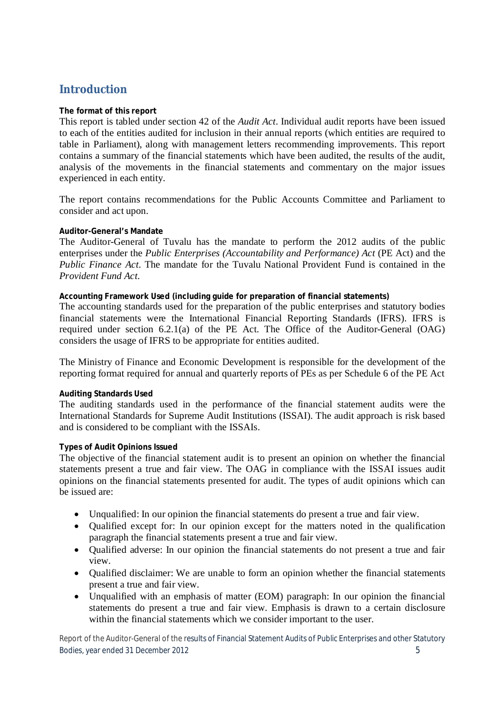### **Introduction**

#### **The format of this report**

This report is tabled under section 42 of the *Audit Act*. Individual audit reports have been issued to each of the entities audited for inclusion in their annual reports (which entities are required to table in Parliament), along with management letters recommending improvements. This report contains a summary of the financial statements which have been audited, the results of the audit, analysis of the movements in the financial statements and commentary on the major issues experienced in each entity.

The report contains recommendations for the Public Accounts Committee and Parliament to consider and act upon.

#### **Auditor-General's Mandate**

The Auditor-General of Tuvalu has the mandate to perform the 2012 audits of the public enterprises under the *Public Enterprises (Accountability and Performance) Act* (PE Act) and the *Public Finance Act*. The mandate for the Tuvalu National Provident Fund is contained in the *Provident Fund Act*.

#### **Accounting Framework Used (including guide for preparation of financial statements)**

The accounting standards used for the preparation of the public enterprises and statutory bodies financial statements were the International Financial Reporting Standards (IFRS). IFRS is required under section 6.2.1(a) of the PE Act. The Office of the Auditor-General (OAG) considers the usage of IFRS to be appropriate for entities audited.

The Ministry of Finance and Economic Development is responsible for the development of the reporting format required for annual and quarterly reports of PEs as per Schedule 6 of the PE Act

#### **Auditing Standards Used**

The auditing standards used in the performance of the financial statement audits were the International Standards for Supreme Audit Institutions (ISSAI). The audit approach is risk based and is considered to be compliant with the ISSAIs.

#### **Types of Audit Opinions Issued**

The objective of the financial statement audit is to present an opinion on whether the financial statements present a true and fair view. The OAG in compliance with the ISSAI issues audit opinions on the financial statements presented for audit. The types of audit opinions which can be issued are:

- Unqualified: In our opinion the financial statements do present a true and fair view.
- Qualified except for: In our opinion except for the matters noted in the qualification paragraph the financial statements present a true and fair view.
- Qualified adverse: In our opinion the financial statements do not present a true and fair view.
- Qualified disclaimer: We are unable to form an opinion whether the financial statements present a true and fair view.
- Unqualified with an emphasis of matter (EOM) paragraph: In our opinion the financial statements do present a true and fair view. Emphasis is drawn to a certain disclosure within the financial statements which we consider important to the user.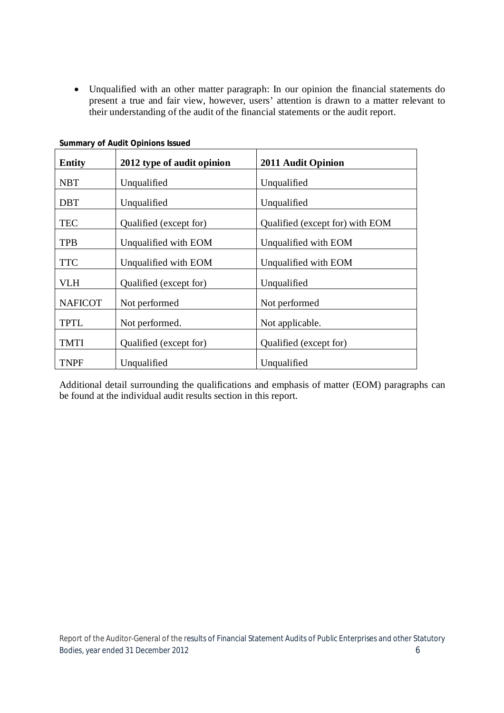Unqualified with an other matter paragraph: In our opinion the financial statements do present a true and fair view, however, users' attention is drawn to a matter relevant to their understanding of the audit of the financial statements or the audit report.

| <b>Entity</b>  | 2012 type of audit opinion | 2011 Audit Opinion              |
|----------------|----------------------------|---------------------------------|
| <b>NBT</b>     | Unqualified                | Unqualified                     |
| <b>DBT</b>     | Unqualified                | Unqualified                     |
| <b>TEC</b>     | Qualified (except for)     | Qualified (except for) with EOM |
| <b>TPB</b>     | Unqualified with EOM       | Unqualified with EOM            |
| <b>TTC</b>     | Unqualified with EOM       | Unqualified with EOM            |
| VLH            | Qualified (except for)     | Unqualified                     |
| <b>NAFICOT</b> | Not performed              | Not performed                   |
| <b>TPTL</b>    | Not performed.             | Not applicable.                 |
| <b>TMTI</b>    | Qualified (except for)     | Qualified (except for)          |
| <b>TNPF</b>    | Unqualified                | Unqualified                     |

**Summary of Audit Opinions Issued**

Additional detail surrounding the qualifications and emphasis of matter (EOM) paragraphs can be found at the individual audit results section in this report.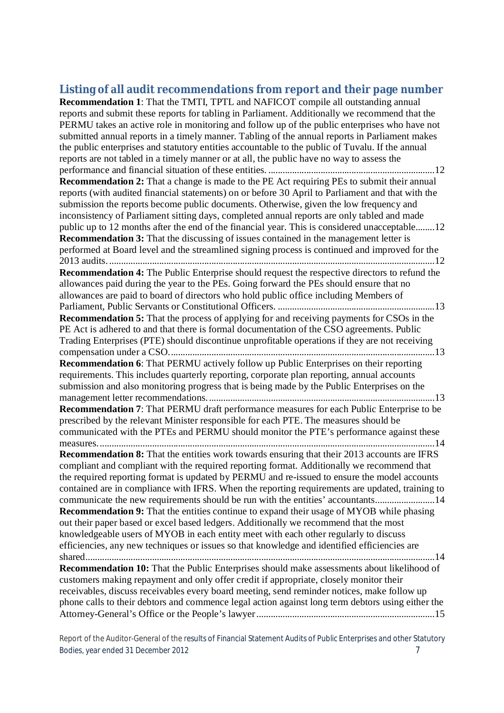### **Listing of all audit recommendations from report and their page number**

**Recommendation 1**: That the TMTI, TPTL and NAFICOT compile all outstanding annual reports and submit these reports for tabling in Parliament. Additionally we recommend that the PERMU takes an active role in monitoring and follow up of the public enterprises who have not submitted annual reports in a timely manner. Tabling of the annual reports in Parliament makes the public enterprises and statutory entities accountable to the public of Tuvalu. If the annual reports are not tabled in a timely manner or at all, the public have no way to assess the performance and financial situation of these entities. ......................................................................12 **Recommendation 2:** That a change is made to the PE Act requiring PEs to submit their annual reports (with audited financial statements) on or before 30 April to Parliament and that with the submission the reports become public documents. Otherwise, given the low frequency and inconsistency of Parliament sitting days, completed annual reports are only tabled and made public up to 12 months after the end of the financial year. This is considered unacceptable........12 **Recommendation 3:** That the discussing of issues contained in the management letter is performed at Board level and the streamlined signing process is continued and improved for the 2013 audits..........................................................................................................................................12 **Recommendation 4:** The Public Enterprise should request the respective directors to refund the allowances paid during the year to the PEs. Going forward the PEs should ensure that no allowances are paid to board of directors who hold public office including Members of Parliament, Public Servants or Constitutional Officers. ..................................................................13 **Recommendation 5:** That the process of applying for and receiving payments for CSOs in the PE Act is adhered to and that there is formal documentation of the CSO agreements. Public Trading Enterprises (PTE) should discontinue unprofitable operations if they are not receiving compensation under a CSO................................................................................................................13 **Recommendation 6**: That PERMU actively follow up Public Enterprises on their reporting requirements. This includes quarterly reporting, corporate plan reporting, annual accounts submission and also monitoring progress that is being made by the Public Enterprises on the management letter recommendations................................................................................................13 **Recommendation 7**: That PERMU draft performance measures for each Public Enterprise to be prescribed by the relevant Minister responsible for each PTE. The measures should be communicated with the PTEs and PERMU should monitor the PTE's performance against these measures..............................................................................................................................................14 **Recommendation 8:** That the entities work towards ensuring that their 2013 accounts are IFRS compliant and compliant with the required reporting format. Additionally we recommend that the required reporting format is updated by PERMU and re-issued to ensure the model accounts contained are in compliance with IFRS. When the reporting requirements are updated, training to communicate the new requirements should be run with the entities' accountants.........................14 **Recommendation 9:** That the entities continue to expand their usage of MYOB while phasing out their paper based or excel based ledgers. Additionally we recommend that the most knowledgeable users of MYOB in each entity meet with each other regularly to discuss efficiencies, any new techniques or issues so that knowledge and identified efficiencies are shared...................................................................................................................................................14 **Recommendation 10:** That the Public Enterprises should make assessments about likelihood of customers making repayment and only offer credit if appropriate, closely monitor their receivables, discuss receivables every board meeting, send reminder notices, make follow up phone calls to their debtors and commence legal action against long term debtors using either the Attorney-General's Office or the People's lawyer...........................................................................15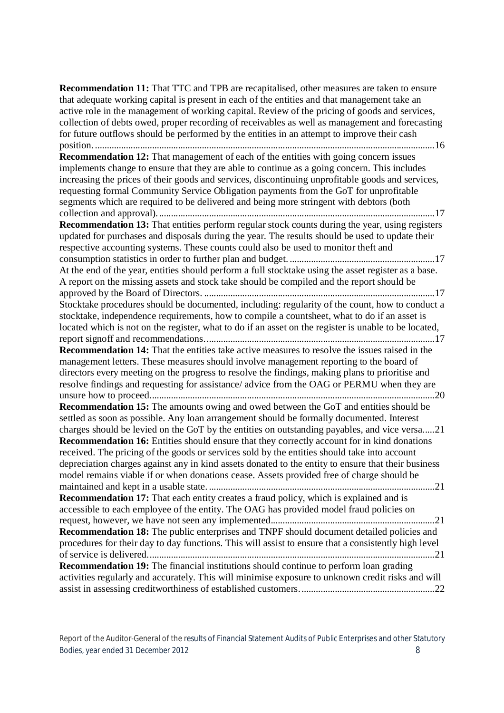**Recommendation 11:** That TTC and TPB are recapitalised, other measures are taken to ensure that adequate working capital is present in each of the entities and that management take an active role in the management of working capital. Review of the pricing of goods and services, collection of debts owed, proper recording of receivables as well as management and forecasting for future outflows should be performed by the entities in an attempt to improve their cash position................................................................................................................................................16 **Recommendation 12:** That management of each of the entities with going concern issues implements change to ensure that they are able to continue as a going concern. This includes increasing the prices of their goods and services, discontinuing unprofitable goods and services, requesting formal Community Service Obligation payments from the GoT for unprofitable segments which are required to be delivered and being more stringent with debtors (both collection and approval).....................................................................................................................17 **Recommendation 13:** That entities perform regular stock counts during the year, using registers updated for purchases and disposals during the year. The results should be used to update their respective accounting systems. These counts could also be used to monitor theft and consumption statistics in order to further plan and budget. .............................................................17 At the end of the year, entities should perform a full stocktake using the asset register as a base. A report on the missing assets and stock take should be compiled and the report should be approved by the Board of Directors. .................................................................................................17 Stocktake procedures should be documented, including: regularity of the count, how to conduct a stocktake, independence requirements, how to compile a countsheet, what to do if an asset is located which is not on the register, what to do if an asset on the register is unable to be located, report signoff and recommendations.................................................................................................17 **Recommendation 14:** That the entities take active measures to resolve the issues raised in the management letters. These measures should involve management reporting to the board of directors every meeting on the progress to resolve the findings, making plans to prioritise and resolve findings and requesting for assistance/ advice from the OAG or PERMU when they are unsure how to proceed........................................................................................................................20 **Recommendation 15:** The amounts owing and owed between the GoT and entities should be settled as soon as possible. Any loan arrangement should be formally documented. Interest charges should be levied on the GoT by the entities on outstanding payables, and vice versa.....21 **Recommendation 16:** Entities should ensure that they correctly account for in kind donations received. The pricing of the goods or services sold by the entities should take into account depreciation charges against any in kind assets donated to the entity to ensure that their business model remains viable if or when donations cease. Assets provided free of charge should be maintained and kept in a usable state. ...............................................................................................21 **Recommendation 17:** That each entity creates a fraud policy, which is explained and is accessible to each employee of the entity. The OAG has provided model fraud policies on request, however, we have not seen any implemented.....................................................................21 **Recommendation 18:** The public enterprises and TNPF should document detailed policies and procedures for their day to day functions. This will assist to ensure that a consistently high level of service is delivered.........................................................................................................................21 **Recommendation 19:** The financial institutions should continue to perform loan grading activities regularly and accurately. This will minimise exposure to unknown credit risks and will assist in assessing creditworthiness of established customers.........................................................22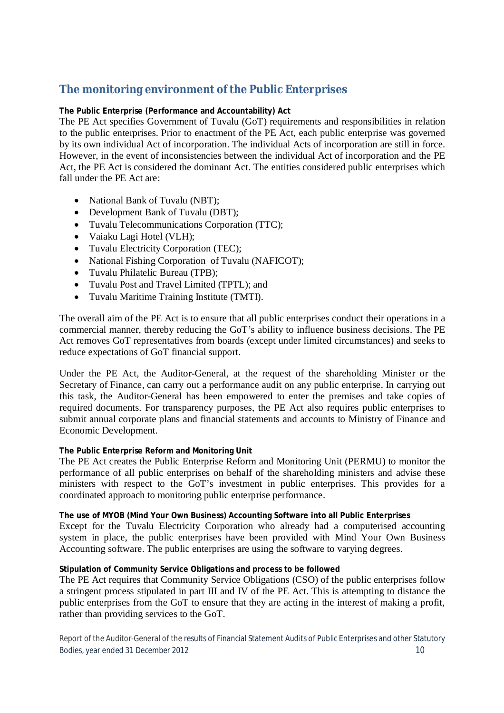### **The monitoring environment of the Public Enterprises**

#### **The Public Enterprise (Performance and Accountability) Act**

The PE Act specifies Government of Tuvalu (GoT) requirements and responsibilities in relation to the public enterprises. Prior to enactment of the PE Act, each public enterprise was governed by its own individual Act of incorporation. The individual Acts of incorporation are still in force. However, in the event of inconsistencies between the individual Act of incorporation and the PE Act, the PE Act is considered the dominant Act. The entities considered public enterprises which fall under the PE Act are:

- National Bank of Tuvalu (NBT);
- Development Bank of Tuvalu (DBT);
- Tuvalu Telecommunications Corporation (TTC);
- Vaiaku Lagi Hotel (VLH);
- Tuvalu Electricity Corporation (TEC);
- National Fishing Corporation of Tuvalu (NAFICOT);
- Tuvalu Philatelic Bureau (TPB);
- Tuvalu Post and Travel Limited (TPTL); and
- Tuvalu Maritime Training Institute (TMTI).

The overall aim of the PE Act is to ensure that all public enterprises conduct their operations in a commercial manner, thereby reducing the GoT's ability to influence business decisions. The PE Act removes GoT representatives from boards (except under limited circumstances) and seeks to reduce expectations of GoT financial support.

Under the PE Act, the Auditor-General, at the request of the shareholding Minister or the Secretary of Finance, can carry out a performance audit on any public enterprise. In carrying out this task, the Auditor-General has been empowered to enter the premises and take copies of required documents. For transparency purposes, the PE Act also requires public enterprises to submit annual corporate plans and financial statements and accounts to Ministry of Finance and Economic Development.

#### **The Public Enterprise Reform and Monitoring Unit**

The PE Act creates the Public Enterprise Reform and Monitoring Unit (PERMU) to monitor the performance of all public enterprises on behalf of the shareholding ministers and advise these ministers with respect to the GoT's investment in public enterprises. This provides for a coordinated approach to monitoring public enterprise performance.

#### **The use of MYOB (Mind Your Own Business) Accounting Software into all Public Enterprises**

Except for the Tuvalu Electricity Corporation who already had a computerised accounting system in place, the public enterprises have been provided with Mind Your Own Business Accounting software. The public enterprises are using the software to varying degrees.

#### **Stipulation of Community Service Obligations and process to be followed**

The PE Act requires that Community Service Obligations (CSO) of the public enterprises follow a stringent process stipulated in part III and IV of the PE Act. This is attempting to distance the public enterprises from the GoT to ensure that they are acting in the interest of making a profit, rather than providing services to the GoT.

Report of the Auditor-General of the results of Financial Statement Audits of Public Enterprises and other Statutory Bodies, year ended 31 December 2012 10 and the state of the state of the state of the state of the state of the state of the state of the state of the state of the state of the state of the state of the state of the state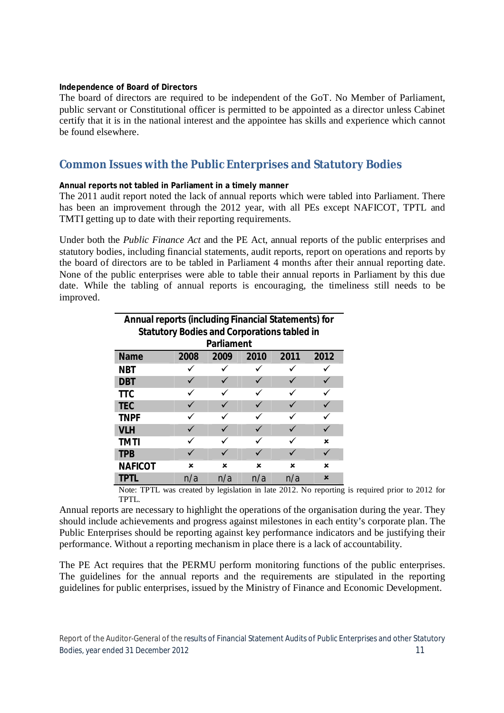#### **Independence of Board of Directors**

The board of directors are required to be independent of the GoT. No Member of Parliament, public servant or Constitutional officer is permitted to be appointed as a director unless Cabinet certify that it is in the national interest and the appointee has skills and experience which cannot be found elsewhere.

### **Common Issues with the Public Enterprises and Statutory Bodies**

#### **Annual reports not tabled in Parliament in a timely manner**

The 2011 audit report noted the lack of annual reports which were tabled into Parliament. There has been an improvement through the 2012 year, with all PEs except NAFICOT, TPTL and TMTI getting up to date with their reporting requirements.

Under both the *Public Finance Act* and the PE Act, annual reports of the public enterprises and statutory bodies, including financial statements, audit reports, report on operations and reports by the board of directors are to be tabled in Parliament 4 months after their annual reporting date. None of the public enterprises were able to table their annual reports in Parliament by this due date. While the tabling of annual reports is encouraging, the timeliness still needs to be improved.

| <b>Annual reports (including Financial Statements) for</b><br><b>Statutory Bodies and Corporations tabled in</b> |      |      |      |      |      |  |  |  |  |  |  |  |
|------------------------------------------------------------------------------------------------------------------|------|------|------|------|------|--|--|--|--|--|--|--|
| <b>Parliament</b>                                                                                                |      |      |      |      |      |  |  |  |  |  |  |  |
| <b>Name</b>                                                                                                      | 2008 | 2009 | 2010 | 2011 | 2012 |  |  |  |  |  |  |  |
| NBT                                                                                                              |      |      |      |      |      |  |  |  |  |  |  |  |
| <b>DBT</b>                                                                                                       |      |      |      |      |      |  |  |  |  |  |  |  |
| <b>TTC</b>                                                                                                       |      |      |      |      |      |  |  |  |  |  |  |  |
| <b>TEC</b>                                                                                                       |      |      |      |      |      |  |  |  |  |  |  |  |
| <b>TNPF</b>                                                                                                      |      |      |      |      |      |  |  |  |  |  |  |  |
| <b>VLH</b>                                                                                                       |      |      |      |      |      |  |  |  |  |  |  |  |
| <b>TMTI</b>                                                                                                      |      |      |      |      | ×    |  |  |  |  |  |  |  |
| <b>TPB</b>                                                                                                       |      |      |      |      |      |  |  |  |  |  |  |  |
| <b>NAFICOT</b>                                                                                                   | ×    | ×    | x    | ×    | ×    |  |  |  |  |  |  |  |
| TPTI                                                                                                             | n/a  | n/a  | n/a  | n/a  | ×    |  |  |  |  |  |  |  |

Note: TPTL was created by legislation in late 2012. No reporting is required prior to 2012 for TPTL.

Annual reports are necessary to highlight the operations of the organisation during the year. They should include achievements and progress against milestones in each entity's corporate plan. The Public Enterprises should be reporting against key performance indicators and be justifying their performance. Without a reporting mechanism in place there is a lack of accountability.

The PE Act requires that the PERMU perform monitoring functions of the public enterprises. The guidelines for the annual reports and the requirements are stipulated in the reporting guidelines for public enterprises, issued by the Ministry of Finance and Economic Development.

Report of the Auditor-General of the results of Financial Statement Audits of Public Enterprises and other Statutory Bodies, year ended 31 December 2012 11 and the state of the state of the state of the state of the state of the state of the state of the state of the state of the state of the state of the state of the state of the state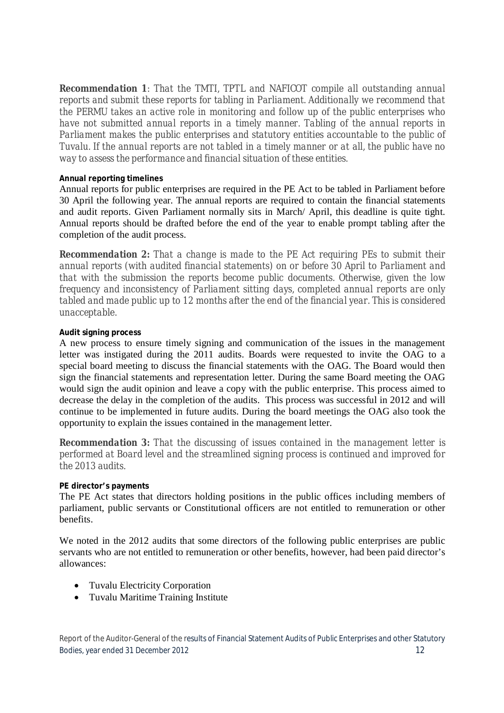*Recommendation 1: That the TMTI, TPTL and NAFICOT compile all outstanding annual reports and submit these reports for tabling in Parliament. Additionally we recommend that the PERMU takes an active role in monitoring and follow up of the public enterprises who have not submitted annual reports in a timely manner. Tabling of the annual reports in Parliament makes the public enterprises and statutory entities accountable to the public of Tuvalu. If the annual reports are not tabled in a timely manner or at all, the public have no way to assess the performance and financial situation of these entities.*

#### **Annual reporting timelines**

Annual reports for public enterprises are required in the PE Act to be tabled in Parliament before 30 April the following year. The annual reports are required to contain the financial statements and audit reports. Given Parliament normally sits in March/ April, this deadline is quite tight. Annual reports should be drafted before the end of the year to enable prompt tabling after the completion of the audit process.

*Recommendation 2: That a change is made to the PE Act requiring PEs to submit their annual reports (with audited financial statements) on or before 30 April to Parliament and that with the submission the reports become public documents. Otherwise, given the low frequency and inconsistency of Parliament sitting days, completed annual reports are only tabled and made public up to 12 months after the end of the financial year. This is considered unacceptable.* 

#### **Audit signing process**

A new process to ensure timely signing and communication of the issues in the management letter was instigated during the 2011 audits. Boards were requested to invite the OAG to a special board meeting to discuss the financial statements with the OAG. The Board would then sign the financial statements and representation letter. During the same Board meeting the OAG would sign the audit opinion and leave a copy with the public enterprise. This process aimed to decrease the delay in the completion of the audits. This process was successful in 2012 and will continue to be implemented in future audits. During the board meetings the OAG also took the opportunity to explain the issues contained in the management letter.

*Recommendation 3: That the discussing of issues contained in the management letter is performed at Board level and the streamlined signing process is continued and improved for the 2013 audits.*

#### **PE director's payments**

The PE Act states that directors holding positions in the public offices including members of parliament, public servants or Constitutional officers are not entitled to remuneration or other benefits.

We noted in the 2012 audits that some directors of the following public enterprises are public servants who are not entitled to remuneration or other benefits, however, had been paid director's allowances:

- Tuvalu Electricity Corporation
- Tuvalu Maritime Training Institute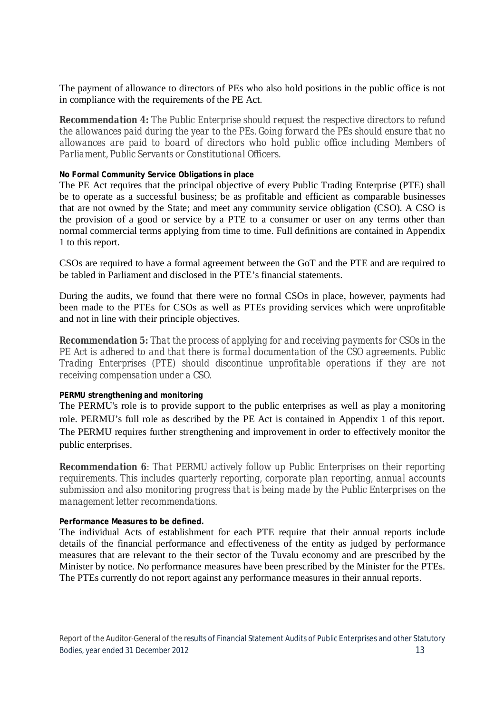The payment of allowance to directors of PEs who also hold positions in the public office is not in compliance with the requirements of the PE Act.

*Recommendation 4: The Public Enterprise should request the respective directors to refund the allowances paid during the year to the PEs. Going forward the PEs should ensure that no allowances are paid to board of directors who hold public office including Members of Parliament, Public Servants or Constitutional Officers.*

#### **No Formal Community Service Obligations in place**

The PE Act requires that the principal objective of every Public Trading Enterprise (PTE) shall be to operate as a successful business; be as profitable and efficient as comparable businesses that are not owned by the State; and meet any community service obligation (CSO). A CSO is the provision of a good or service by a PTE to a consumer or user on any terms other than normal commercial terms applying from time to time. Full definitions are contained in Appendix 1 to this report.

CSOs are required to have a formal agreement between the GoT and the PTE and are required to be tabled in Parliament and disclosed in the PTE's financial statements.

During the audits, we found that there were no formal CSOs in place, however, payments had been made to the PTEs for CSOs as well as PTEs providing services which were unprofitable and not in line with their principle objectives.

*Recommendation 5: That the process of applying for and receiving payments for CSOs in the PE Act is adhered to and that there is formal documentation of the CSO agreements. Public Trading Enterprises (PTE) should discontinue unprofitable operations if they are not receiving compensation under a CSO.*

#### **PERMU strengthening and monitoring**

The PERMU's role is to provide support to the public enterprises as well as play a monitoring role. PERMU's full role as described by the PE Act is contained in Appendix 1 of this report. The PERMU requires further strengthening and improvement in order to effectively monitor the public enterprises.

*Recommendation 6: That PERMU actively follow up Public Enterprises on their reporting requirements. This includes quarterly reporting, corporate plan reporting, annual accounts submission and also monitoring progress that is being made by the Public Enterprises on the management letter recommendations.* 

#### **Performance Measures to be defined.**

The individual Acts of establishment for each PTE require that their annual reports include details of the financial performance and effectiveness of the entity as judged by performance measures that are relevant to the their sector of the Tuvalu economy and are prescribed by the Minister by notice. No performance measures have been prescribed by the Minister for the PTEs. The PTEs currently do not report against any performance measures in their annual reports.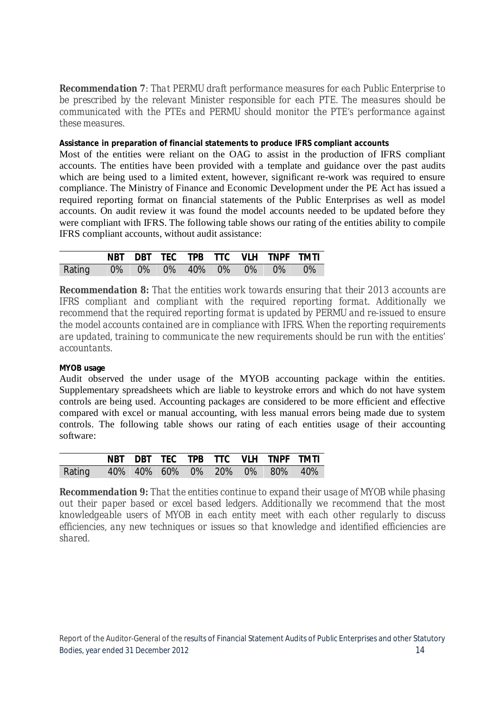*Recommendation 7: That PERMU draft performance measures for each Public Enterprise to be prescribed by the relevant Minister responsible for each PTE. The measures should be communicated with the PTEs and PERMU should monitor the PTE's performance against these measures.*

#### **Assistance in preparation of financial statements to produce IFRS compliant accounts**

Most of the entities were reliant on the OAG to assist in the production of IFRS compliant accounts. The entities have been provided with a template and guidance over the past audits which are being used to a limited extent, however, significant re-work was required to ensure compliance. The Ministry of Finance and Economic Development under the PE Act has issued a required reporting format on financial statements of the Public Enterprises as well as model accounts. On audit review it was found the model accounts needed to be updated before they were compliant with IFRS. The following table shows our rating of the entities ability to compile IFRS compliant accounts, without audit assistance:

|                                 |  |  |  | NBT DBT TEC TPB TTC VLH TNPF TMTI |  |
|---------------------------------|--|--|--|-----------------------------------|--|
| Rating 0% 0% 0% 40% 0% 0% 0% 0% |  |  |  |                                   |  |

*Recommendation 8: That the entities work towards ensuring that their 2013 accounts are IFRS compliant and compliant with the required reporting format. Additionally we recommend that the required reporting format is updated by PERMU and re-issued to ensure the model accounts contained are in compliance with IFRS. When the reporting requirements are updated, training to communicate the new requirements should be run with the entities' accountants.* 

#### **MYOB usage**

Audit observed the under usage of the MYOB accounting package within the entities. Supplementary spreadsheets which are liable to keystroke errors and which do not have system controls are being used. Accounting packages are considered to be more efficient and effective compared with excel or manual accounting, with less manual errors being made due to system controls. The following table shows our rating of each entities usage of their accounting software:

|                                      |  |  |  | NBT DBT TEC TPB TTC VLH TNPF TMTI |  |
|--------------------------------------|--|--|--|-----------------------------------|--|
| Rating 40% 40% 60% 0% 20% 0% 80% 40% |  |  |  |                                   |  |

*Recommendation 9: That the entities continue to expand their usage of MYOB while phasing out their paper based or excel based ledgers. Additionally we recommend that the most knowledgeable users of MYOB in each entity meet with each other regularly to discuss efficiencies, any new techniques or issues so that knowledge and identified efficiencies are shared.*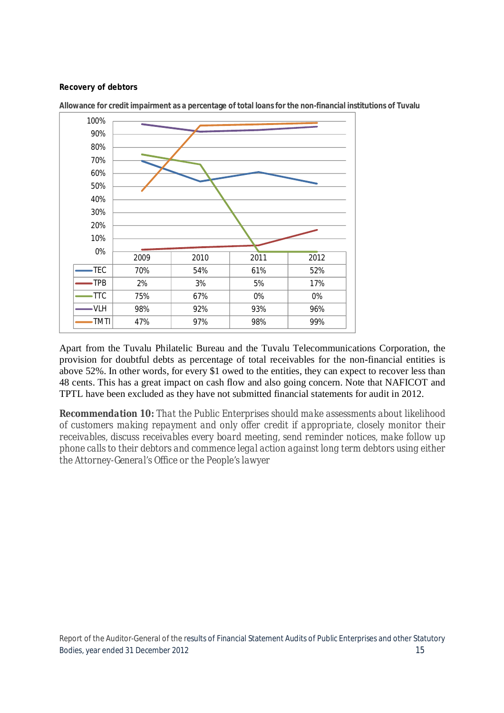#### **Recovery of debtors**



**Allowance for credit impairment as a percentage of total loans for the non-financial institutions of Tuvalu**

Apart from the Tuvalu Philatelic Bureau and the Tuvalu Telecommunications Corporation, the provision for doubtful debts as percentage of total receivables for the non-financial entities is above 52%. In other words, for every \$1 owed to the entities, they can expect to recover less than 48 cents. This has a great impact on cash flow and also going concern. Note that NAFICOT and TPTL have been excluded as they have not submitted financial statements for audit in 2012.

*Recommendation 10: That the Public Enterprises should make assessments about likelihood of customers making repayment and only offer credit if appropriate, closely monitor their receivables, discuss receivables every board meeting, send reminder notices, make follow up phone calls to their debtors and commence legal action against long term debtors using either the Attorney-General's Office or the People's lawyer*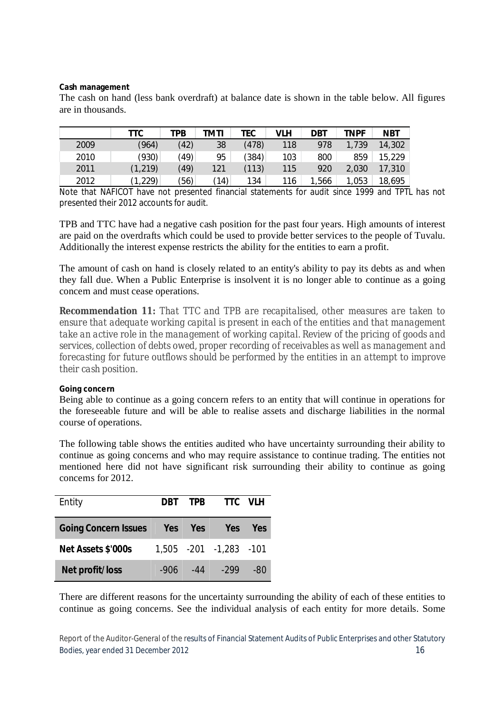#### **Cash management**

The cash on hand (less bank overdraft) at balance date is shown in the table below. All figures are in thousands.

|      | TTC      | TPB  | TMTI            | TEC   | VLH | DBT   | <b>TNPF</b> | <b>NBT</b> |
|------|----------|------|-----------------|-------|-----|-------|-------------|------------|
| 2009 | (964)    | (42) | 38              | (478) | 118 | 978   | 1,739       | 14,302     |
| 2010 | (930)    | (49  | 95              | (384) | 103 | 800   | 859         | 15,229     |
| 2011 | (1, 219) | (49) | 121             | (113) | 115 | 920   | 2,030       | 17,310     |
| 2012 | (1,229)  | (56) | $^{\prime}$ 14) | 134   | 116 | 1,566 | 1,053       | 18,695     |

Note that NAFICOT have not presented financial statements for audit since 1999 and TPTL has not presented their 2012 accounts for audit.

TPB and TTC have had a negative cash position for the past four years. High amounts of interest are paid on the overdrafts which could be used to provide better services to the people of Tuvalu. Additionally the interest expense restricts the ability for the entities to earn a profit.

The amount of cash on hand is closely related to an entity's ability to pay its debts as and when they fall due. When a Public Enterprise is insolvent it is no longer able to continue as a going concern and must cease operations.

*Recommendation 11: That TTC and TPB are recapitalised, other measures are taken to ensure that adequate working capital is present in each of the entities and that management take an active role in the management of working capital. Review of the pricing of goods and services, collection of debts owed, proper recording of receivables as well as management and forecasting for future outflows should be performed by the entities in an attempt to improve their cash position.*

#### **Going concern**

Being able to continue as a going concern refers to an entity that will continue in operations for the foreseeable future and will be able to realise assets and discharge liabilities in the normal course of operations.

The following table shows the entities audited who have uncertainty surrounding their ability to continue as going concerns and who may require assistance to continue trading. The entities not mentioned here did not have significant risk surrounding their ability to continue as going concerns for 2012.

| Entity                      |      | DRT TPR    | TTC VLH                |     |
|-----------------------------|------|------------|------------------------|-----|
| <b>Going Concern Issues</b> | Yes  | <b>Yes</b> | <b>Yes</b>             | Yes |
| Net Assets \$'000s          |      |            | 1,505 -201 -1,283 -101 |     |
| Net profit/loss             | -906 | $-44$      | $-299$                 | -80 |

There are different reasons for the uncertainty surrounding the ability of each of these entities to continue as going concerns. See the individual analysis of each entity for more details. Some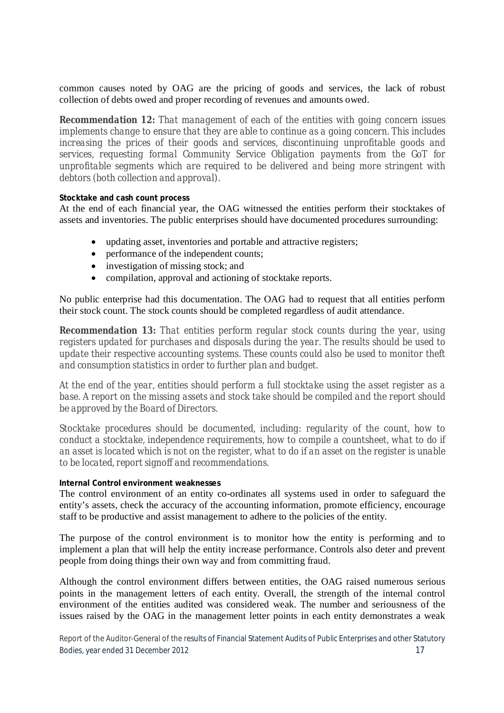common causes noted by OAG are the pricing of goods and services, the lack of robust collection of debts owed and proper recording of revenues and amounts owed.

*Recommendation 12: That management of each of the entities with going concern issues implements change to ensure that they are able to continue as a going concern. This includes increasing the prices of their goods and services, discontinuing unprofitable goods and services, requesting formal Community Service Obligation payments from the GoT for unprofitable segments which are required to be delivered and being more stringent with debtors (both collection and approval).*

#### **Stocktake and cash count process**

At the end of each financial year, the OAG witnessed the entities perform their stocktakes of assets and inventories. The public enterprises should have documented procedures surrounding:

- updating asset, inventories and portable and attractive registers;
- performance of the independent counts;
- investigation of missing stock; and
- compilation, approval and actioning of stocktake reports.

No public enterprise had this documentation. The OAG had to request that all entities perform their stock count. The stock counts should be completed regardless of audit attendance.

*Recommendation 13: That entities perform regular stock counts during the year, using registers updated for purchases and disposals during the year. The results should be used to update their respective accounting systems. These counts could also be used to monitor theft and consumption statistics in order to further plan and budget.* 

*At the end of the year, entities should perform a full stocktake using the asset register as a base. A report on the missing assets and stock take should be compiled and the report should be approved by the Board of Directors.*

*Stocktake procedures should be documented, including: regularity of the count, how to conduct a stocktake, independence requirements, how to compile a countsheet, what to do if an asset is located which is not on the register, what to do if an asset on the register is unable to be located, report signoff and recommendations.*

#### **Internal Control environment weaknesses**

The control environment of an entity co-ordinates all systems used in order to safeguard the entity's assets, check the accuracy of the accounting information, promote efficiency, encourage staff to be productive and assist management to adhere to the policies of the entity.

The purpose of the control environment is to monitor how the entity is performing and to implement a plan that will help the entity increase performance. Controls also deter and prevent people from doing things their own way and from committing fraud.

Although the control environment differs between entities, the OAG raised numerous serious points in the management letters of each entity. Overall, the strength of the internal control environment of the entities audited was considered weak. The number and seriousness of the issues raised by the OAG in the management letter points in each entity demonstrates a weak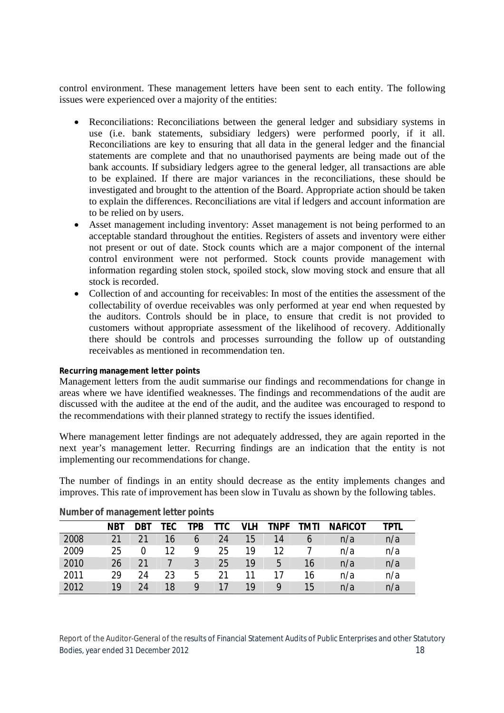control environment. These management letters have been sent to each entity. The following issues were experienced over a majority of the entities:

- Reconciliations: Reconciliations between the general ledger and subsidiary systems in use (i.e. bank statements, subsidiary ledgers) were performed poorly, if it all. Reconciliations are key to ensuring that all data in the general ledger and the financial statements are complete and that no unauthorised payments are being made out of the bank accounts. If subsidiary ledgers agree to the general ledger, all transactions are able to be explained. If there are major variances in the reconciliations, these should be investigated and brought to the attention of the Board. Appropriate action should be taken to explain the differences. Reconciliations are vital if ledgers and account information are to be relied on by users.
- Asset management including inventory: Asset management is not being performed to an acceptable standard throughout the entities. Registers of assets and inventory were either not present or out of date. Stock counts which are a major component of the internal control environment were not performed. Stock counts provide management with information regarding stolen stock, spoiled stock, slow moving stock and ensure that all stock is recorded.
- Collection of and accounting for receivables: In most of the entities the assessment of the collectability of overdue receivables was only performed at year end when requested by the auditors. Controls should be in place, to ensure that credit is not provided to customers without appropriate assessment of the likelihood of recovery. Additionally there should be controls and processes surrounding the follow up of outstanding receivables as mentioned in recommendation ten.

#### **Recurring management letter points**

Management letters from the audit summarise our findings and recommendations for change in areas where we have identified weaknesses. The findings and recommendations of the audit are discussed with the auditee at the end of the audit, and the auditee was encouraged to respond to the recommendations with their planned strategy to rectify the issues identified.

Where management letter findings are not adequately addressed, they are again reported in the next year's management letter. Recurring findings are an indication that the entity is not implementing our recommendations for change.

The number of findings in an entity should decrease as the entity implements changes and improves. This rate of improvement has been slow in Tuvalu as shown by the following tables.

|      | <b>NBT</b> | <b>DBT</b> | TEC. | TPB           | TTC | <b>VLH</b> | <b>TNPF</b> | TMTI | <b>NAFICOT</b> | TPTL |
|------|------------|------------|------|---------------|-----|------------|-------------|------|----------------|------|
| 2008 | 21         | 21         | 16   | $\mathfrak b$ | 24  | 15         | 14          | h    | n/a            | n/a  |
| 2009 | 25         | 0          | 12   | Q             | 25  | 19         | 12          |      | n/a            | n/a  |
| 2010 | 26         | 21         |      | 3             | 25  | 19         | 5           | 16   | n/a            | n/a  |
| 2011 | 29         | 24         | 23   | 5             | 21  |            |             | 16   | n/a            | n/a  |
| 2012 | 19         | 24         | 18   | Q             | 17  | 19         |             | 15   | n/a            | n/a  |

#### **Number of management letter points**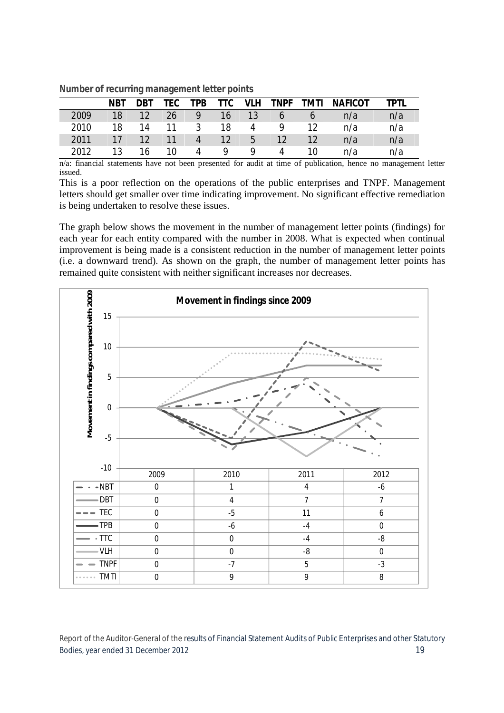|      | <b>NBT</b> | <b>DBT</b> | <b>TEC</b> | <b>TPB</b>     | <b>TTC</b>       |    | <b>VLH TNPF TMTI</b> |    | <b>NAFICOT</b> | TPTI |
|------|------------|------------|------------|----------------|------------------|----|----------------------|----|----------------|------|
| 2009 | 18         | 12         | 26         | 9              | 16               | 13 | 6                    | O  | n/a            | n/a  |
| 2010 | 18         | 14         | 11         | $\mathbf{3}$   | 18               | 4  | Q                    | 12 | n/a            | n/a  |
| 2011 | 17         | 12         | 11         | 4 <sup>7</sup> | $\neg$ 12 $\neg$ | 5  | 12                   | 12 | n/a            | n/a  |
| 2012 | 13         | 16         | 10.        | 4              | Q                | Q  | Δ                    | 10 | n/a            | n/a  |

#### **Number of recurring management letter points**

n/a: financial statements have not been presented for audit at time of publication, hence no management letter issued.

This is a poor reflection on the operations of the public enterprises and TNPF. Management letters should get smaller over time indicating improvement. No significant effective remediation is being undertaken to resolve these issues.

The graph below shows the movement in the number of management letter points (findings) for each year for each entity compared with the number in 2008. What is expected when continual improvement is being made is a consistent reduction in the number of management letter points (i.e. a downward trend). As shown on the graph, the number of management letter points has remained quite consistent with neither significant increases nor decreases.



Report of the Auditor-General of the results of Financial Statement Audits of Public Enterprises and other Statutory Bodies, year ended 31 December 2012 19 and the state of the state of the state of the state of the state of the state of the state of the state of the state of the state of the state of the state of the state of the state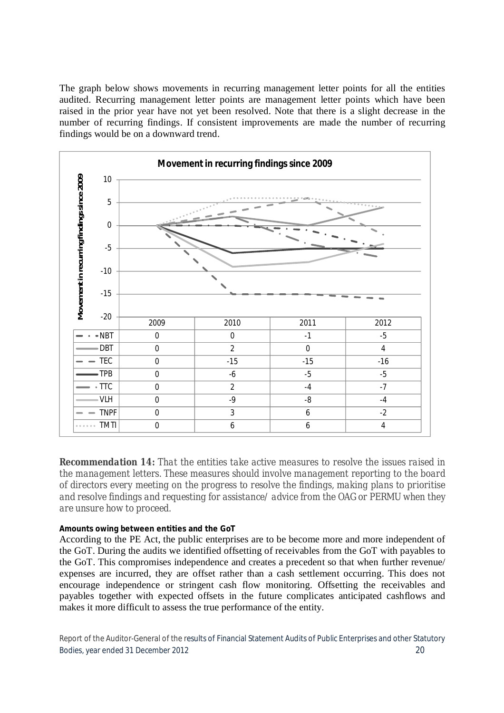The graph below shows movements in recurring management letter points for all the entities audited. Recurring management letter points are management letter points which have been raised in the prior year have not yet been resolved. Note that there is a slight decrease in the number of recurring findings. If consistent improvements are made the number of recurring findings would be on a downward trend.



*Recommendation 14: That the entities take active measures to resolve the issues raised in the management letters. These measures should involve management reporting to the board of directors every meeting on the progress to resolve the findings, making plans to prioritise and resolve findings and requesting for assistance/ advice from the OAG or PERMU when they are unsure how to proceed.*

#### **Amounts owing between entities and the GoT**

According to the PE Act, the public enterprises are to be become more and more independent of the GoT. During the audits we identified offsetting of receivables from the GoT with payables to the GoT. This compromises independence and creates a precedent so that when further revenue/ expenses are incurred, they are offset rather than a cash settlement occurring. This does not encourage independence or stringent cash flow monitoring. Offsetting the receivables and payables together with expected offsets in the future complicates anticipated cashflows and makes it more difficult to assess the true performance of the entity.

Report of the Auditor-General of the results of Financial Statement Audits of Public Enterprises and other Statutory Bodies, year ended 31 December 2012 20 and the state of the state of the state of the state of the state of the state of the state of the state of the state of the state of the state of the state of the state of the state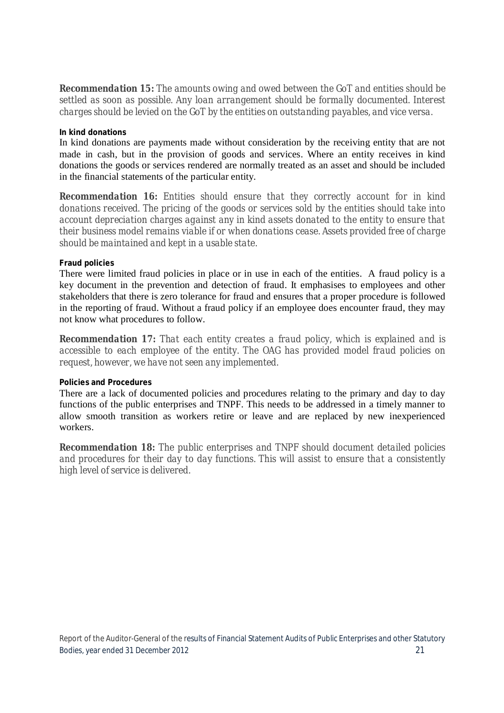*Recommendation 15: The amounts owing and owed between the GoT and entities should be settled as soon as possible. Any loan arrangement should be formally documented. Interest charges should be levied on the GoT by the entities on outstanding payables, and vice versa.*

#### **In kind donations**

In kind donations are payments made without consideration by the receiving entity that are not made in cash, but in the provision of goods and services. Where an entity receives in kind donations the goods or services rendered are normally treated as an asset and should be included in the financial statements of the particular entity.

*Recommendation 16: Entities should ensure that they correctly account for in kind donations received. The pricing of the goods or services sold by the entities should take into account depreciation charges against any in kind assets donated to the entity to ensure that their business model remains viable if or when donations cease. Assets provided free of charge should be maintained and kept in a usable state.*

#### **Fraud policies**

There were limited fraud policies in place or in use in each of the entities. A fraud policy is a key document in the prevention and detection of fraud. It emphasises to employees and other stakeholders that there is zero tolerance for fraud and ensures that a proper procedure is followed in the reporting of fraud. Without a fraud policy if an employee does encounter fraud, they may not know what procedures to follow.

*Recommendation 17: That each entity creates a fraud policy, which is explained and is accessible to each employee of the entity. The OAG has provided model fraud policies on request, however, we have not seen any implemented.* 

#### **Policies and Procedures**

There are a lack of documented policies and procedures relating to the primary and day to day functions of the public enterprises and TNPF. This needs to be addressed in a timely manner to allow smooth transition as workers retire or leave and are replaced by new inexperienced workers.

*Recommendation 18: The public enterprises and TNPF should document detailed policies and procedures for their day to day functions. This will assist to ensure that a consistently high level of service is delivered.*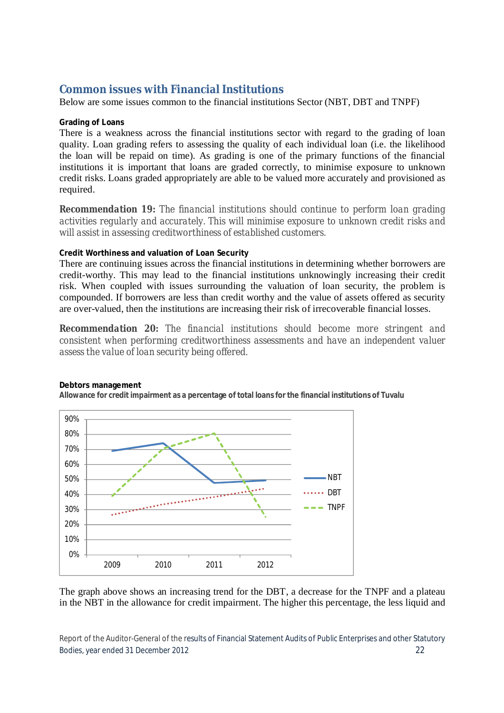### **Common issues with Financial Institutions**

Below are some issues common to the financial institutions Sector (NBT, DBT and TNPF)

#### **Grading of Loans**

There is a weakness across the financial institutions sector with regard to the grading of loan quality. Loan grading refers to assessing the quality of each individual loan (i.e. the likelihood the loan will be repaid on time). As grading is one of the primary functions of the financial institutions it is important that loans are graded correctly, to minimise exposure to unknown credit risks. Loans graded appropriately are able to be valued more accurately and provisioned as required.

*Recommendation 19: The financial institutions should continue to perform loan grading activities regularly and accurately. This will minimise exposure to unknown credit risks and will assist in assessing creditworthiness of established customers.* 

#### **Credit Worthiness and valuation of Loan Security**

There are continuing issues across the financial institutions in determining whether borrowers are credit-worthy. This may lead to the financial institutions unknowingly increasing their credit risk. When coupled with issues surrounding the valuation of loan security, the problem is compounded. If borrowers are less than credit worthy and the value of assets offered as security are over-valued, then the institutions are increasing their risk of irrecoverable financial losses.

*Recommendation 20: The financial institutions should become more stringent and consistent when performing creditworthiness assessments and have an independent valuer assess the value of loan security being offered.* 



#### **Debtors management Allowance for credit impairment as a percentage of total loans for the financial institutions of Tuvalu**

The graph above shows an increasing trend for the DBT, a decrease for the TNPF and a plateau in the NBT in the allowance for credit impairment. The higher this percentage, the less liquid and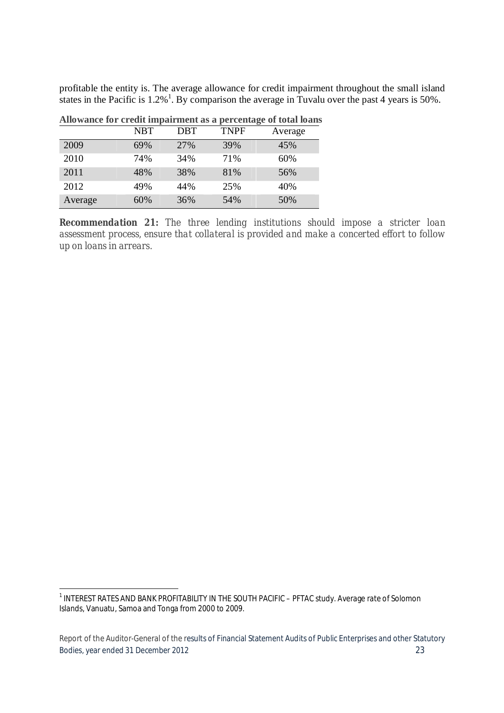profitable the entity is. The average allowance for credit impairment throughout the small island states in the Pacific is  $1.2\%$ <sup>1</sup>. By comparison the average in Tuvalu over the past 4 years is 50%.

|         | <b>NBT</b> | <b>DBT</b> | <b>TNPF</b> | Average |
|---------|------------|------------|-------------|---------|
| 2009    | 69%        | 27%        | 39%         | 45%     |
| 2010    | 74%        | 34%        | 71%         | 60%     |
| 2011    | 48%        | 38%        | 81%         | 56%     |
| 2012    | 49%        | 44%        | 25%         | 40%     |
| Average | 60%        | 36%        | 54%         | 50%     |

**Allowance for credit impairment as a percentage of total loans**

*Recommendation 21: The three lending institutions should impose a stricter loan assessment process, ensure that collateral is provided and make a concerted effort to follow up on loans in arrears.*

<sup>-</sup><sup>1</sup> INTEREST RATES AND BANK PROFITABILITY IN THE SOUTH PACIFIC - PFTAC study. Average rate of Solomon Islands, Vanuatu, Samoa and Tonga from 2000 to 2009.

Report of the Auditor-General of the results of Financial Statement Audits of Public Enterprises and other Statutory Bodies, year ended 31 December 2012 23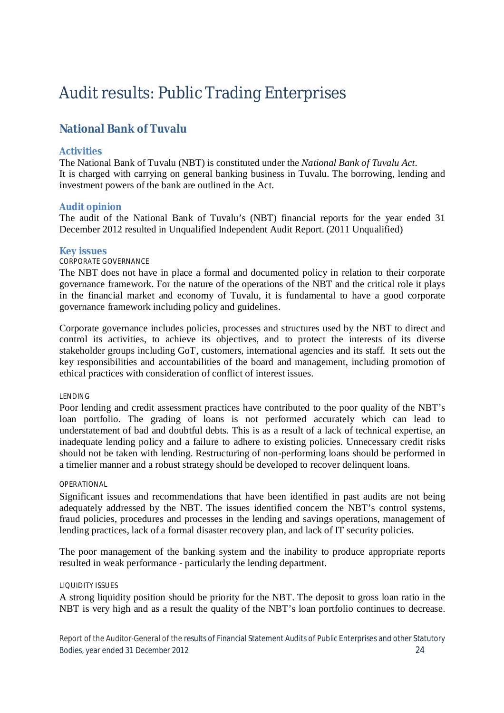# Audit results: Public Trading Enterprises

### **National Bank of Tuvalu**

#### **Activities**

The National Bank of Tuvalu (NBT) is constituted under the *National Bank of Tuvalu Act*. It is charged with carrying on general banking business in Tuvalu. The borrowing, lending and investment powers of the bank are outlined in the Act.

#### **Audit opinion**

The audit of the National Bank of Tuvalu's (NBT) financial reports for the year ended 31 December 2012 resulted in Unqualified Independent Audit Report. (2011 Unqualified)

#### **Key issues**

#### CORPORATE GOVERNANCE

The NBT does not have in place a formal and documented policy in relation to their corporate governance framework. For the nature of the operations of the NBT and the critical role it plays in the financial market and economy of Tuvalu, it is fundamental to have a good corporate governance framework including policy and guidelines.

Corporate governance includes policies, processes and structures used by the NBT to direct and control its activities, to achieve its objectives, and to protect the interests of its diverse stakeholder groups including GoT, customers, international agencies and its staff. It sets out the key responsibilities and accountabilities of the board and management, including promotion of ethical practices with consideration of conflict of interest issues.

#### LENDING

Poor lending and credit assessment practices have contributed to the poor quality of the NBT's loan portfolio. The grading of loans is not performed accurately which can lead to understatement of bad and doubtful debts. This is as a result of a lack of technical expertise, an inadequate lending policy and a failure to adhere to existing policies. Unnecessary credit risks should not be taken with lending. Restructuring of non-performing loans should be performed in a timelier manner and a robust strategy should be developed to recover delinquent loans.

#### OPERATIONAL

Significant issues and recommendations that have been identified in past audits are not being adequately addressed by the NBT. The issues identified concern the NBT's control systems, fraud policies, procedures and processes in the lending and savings operations, management of lending practices, lack of a formal disaster recovery plan, and lack of IT security policies.

The poor management of the banking system and the inability to produce appropriate reports resulted in weak performance - particularly the lending department.

#### LIQUIDITY ISSUES

A strong liquidity position should be priority for the NBT. The deposit to gross loan ratio in the NBT is very high and as a result the quality of the NBT's loan portfolio continues to decrease.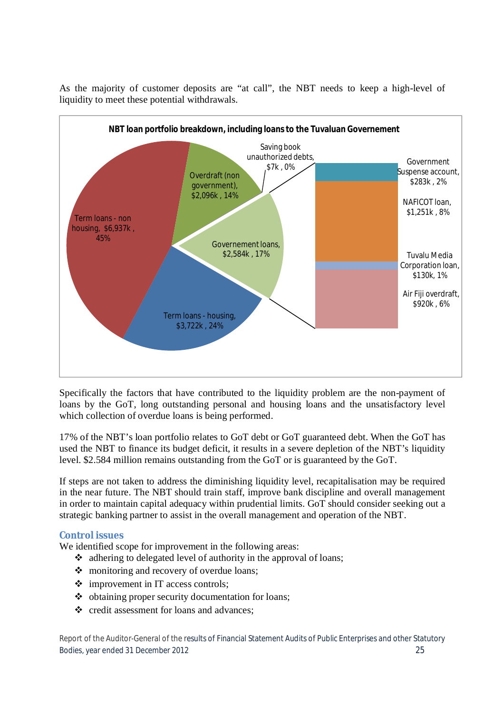

As the majority of customer deposits are "at call", the NBT needs to keep a high-level of liquidity to meet these potential withdrawals.

Specifically the factors that have contributed to the liquidity problem are the non-payment of loans by the GoT, long outstanding personal and housing loans and the unsatisfactory level which collection of overdue loans is being performed.

17% of the NBT's loan portfolio relates to GoT debt or GoT guaranteed debt. When the GoT has used the NBT to finance its budget deficit, it results in a severe depletion of the NBT's liquidity level. \$2.584 million remains outstanding from the GoT or is guaranteed by the GoT.

If steps are not taken to address the diminishing liquidity level, recapitalisation may be required in the near future. The NBT should train staff, improve bank discipline and overall management in order to maintain capital adequacy within prudential limits. GoT should consider seeking out a strategic banking partner to assist in the overall management and operation of the NBT.

#### **Control issues**

We identified scope for improvement in the following areas:

- adhering to delegated level of authority in the approval of loans;
- monitoring and recovery of overdue loans;
- $\div$  improvement in IT access controls;
- $\triangleq$  obtaining proper security documentation for loans;
- ❖ credit assessment for loans and advances: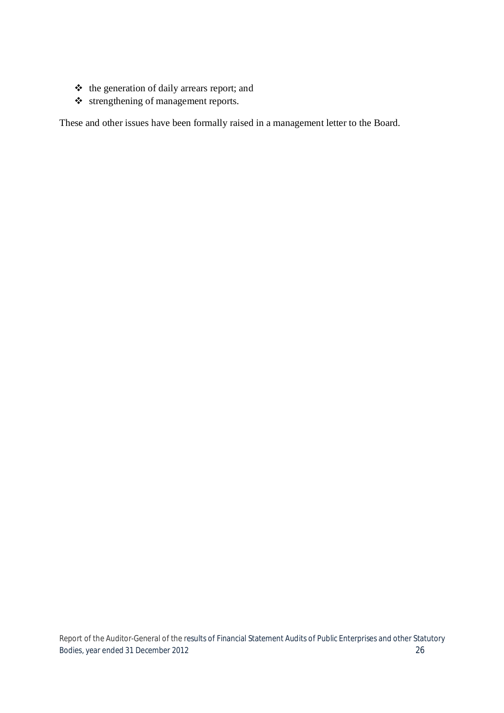- $\triangleleft$  the generation of daily arrears report; and
- strengthening of management reports.

These and other issues have been formally raised in a management letter to the Board.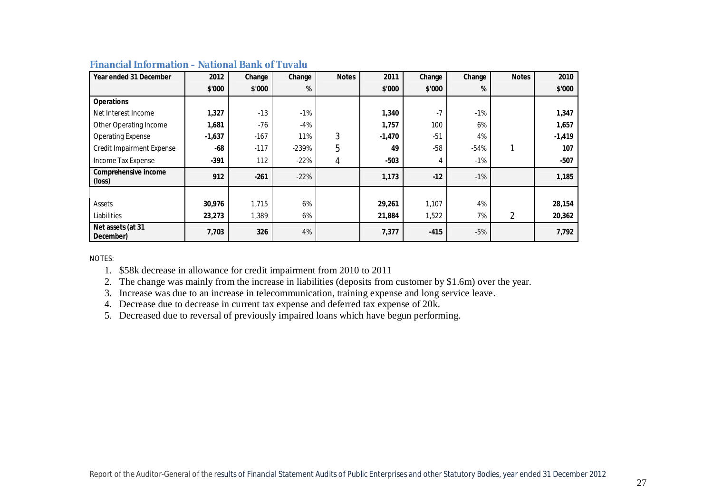| Year ended 31 December         | 2012     | Change | Change  | <b>Notes</b> | 2011     | Change | Change | <b>Notes</b> | 2010     |
|--------------------------------|----------|--------|---------|--------------|----------|--------|--------|--------------|----------|
|                                | \$'000   | \$'000 | %       |              | \$'000   | \$'000 | %      |              | \$'000   |
| <b>Operations</b>              |          |        |         |              |          |        |        |              |          |
| Net Interest Income            | 1,327    | $-13$  | $-1%$   |              | 1,340    | $-7$   | $-1%$  |              | 1,347    |
| Other Operating Income         | 1,681    | $-76$  | $-4%$   |              | 1,757    | 100    | 6%     |              | 1,657    |
| <b>Operating Expense</b>       | $-1,637$ | $-167$ | 11%     | 3            | $-1,470$ | $-51$  | 4%     |              | $-1,419$ |
| Credit Impairment Expense      | -68      | $-117$ | $-239%$ | 5            | 49       | $-58$  | $-54%$ |              | 107      |
| Income Tax Expense             | -391     | 112    | $-22%$  | 4            | $-503$   | 4      | $-1\%$ |              | $-507$   |
| Comprehensive income<br>(loss) | 912      | $-261$ | $-22%$  |              | 1,173    | $-12$  | $-1\%$ |              | 1,185    |
|                                |          |        |         |              |          |        |        |              |          |
| Assets                         | 30,976   | 1,715  | 6%      |              | 29,261   | 1,107  | 4%     |              | 28,154   |
| Liabilities                    | 23,273   | 1,389  | 6%      |              | 21,884   | 1,522  | 7%     | 2            | 20,362   |
| Net assets (at 31<br>December) | 7,703    | 326    | 4%      |              | 7,377    | $-415$ | $-5%$  |              | 7,792    |

#### **Financial Information – National Bank of Tuvalu**

NOTES:

1. \$58k decrease in allowance for credit impairment from 2010 to 2011

2. The change was mainly from the increase in liabilities (deposits from customer by \$1.6m) over the year.

3. Increase was due to an increase in telecommunication, training expense and long service leave.

4. Decrease due to decrease in current tax expense and deferred tax expense of 20k.

5. Decreased due to reversal of previously impaired loans which have begun performing.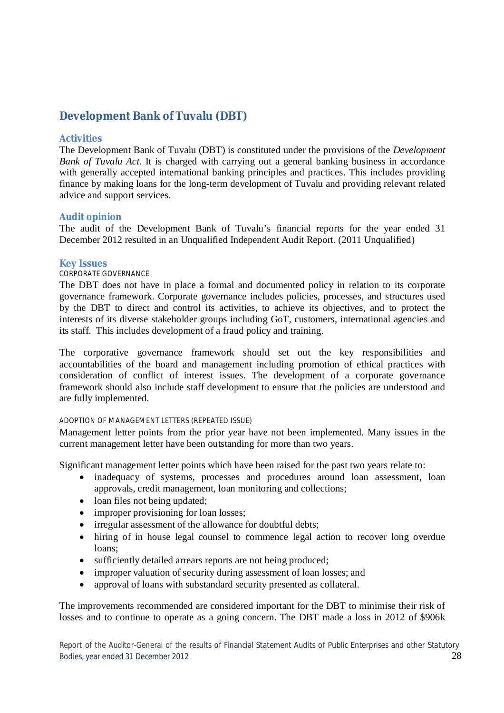### **Development Bank of Tuvalu (DBT)**

#### **Activities**

The Development Bank of Tuvalu (DBT) is constituted under the provisions of the *Development Bank of Tuvalu Act*. It is charged with carrying out a general banking business in accordance with generally accepted international banking principles and practices. This includes providing finance by making loans for the long-term development of Tuvalu and providing relevant related advice and support services.

#### **Audit opinion**

The audit of the Development Bank of Tuvalu's financial reports for the year ended 31 December 2012 resulted in an Unqualified Independent Audit Report. (2011 Unqualified)

#### **Key Issues**

#### CORPORATE GOVERNANCE

The DBT does not have in place a formal and documented policy in relation to its corporate governance framework. Corporate governance includes policies, processes, and structures used by the DBT to direct and control its activities, to achieve its objectives, and to protect the interests of its diverse stakeholder groups including GoT, customers, international agencies and its staff. This includes development of a fraud policy and training.

The corporative governance framework should set out the key responsibilities and accountabilities of the board and management including promotion of ethical practices with consideration of conflict of interest issues. The development of a corporate governance framework should also include staff development to ensure that the policies are understood and are fully implemented.

#### ADOPTION OF MANAGEMENT LETTERS (REPEATED ISSUE)

Management letter points from the prior year have not been implemented. Many issues in the current management letter have been outstanding for more than two years.

Significant management letter points which have been raised for the past two years relate to:

- inadequacy of systems, processes and procedures around loan assessment, loan approvals, credit management, loan monitoring and collections;
- loan files not being updated;
- improper provisioning for loan losses;
- irregular assessment of the allowance for doubtful debts;
- hiring of in house legal counsel to commence legal action to recover long overdue loans;
- sufficiently detailed arrears reports are not being produced;
- improper valuation of security during assessment of loan losses; and
- approval of loans with substandard security presented as collateral.

The improvements recommended are considered important for the DBT to minimise their risk of losses and to continue to operate as a going concern. The DBT made a loss in 2012 of \$906k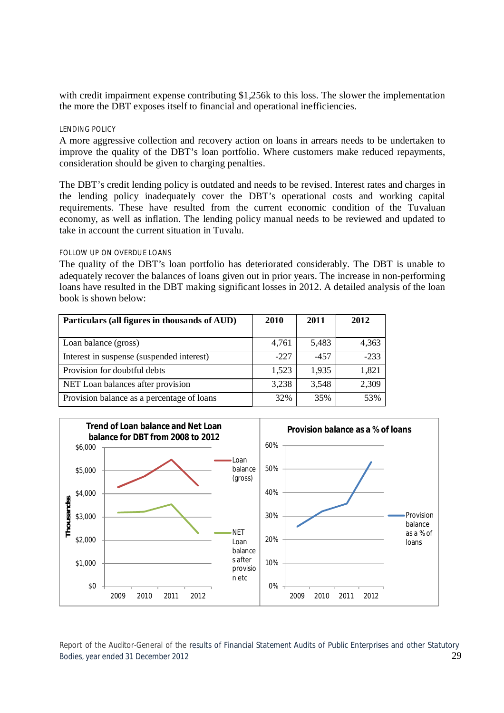with credit impairment expense contributing \$1,256k to this loss. The slower the implementation the more the DBT exposes itself to financial and operational inefficiencies.

#### LENDING POLICY

A more aggressive collection and recovery action on loans in arrears needs to be undertaken to improve the quality of the DBT's loan portfolio. Where customers make reduced repayments, consideration should be given to charging penalties.

The DBT's credit lending policy is outdated and needs to be revised. Interest rates and charges in the lending policy inadequately cover the DBT's operational costs and working capital requirements. These have resulted from the current economic condition of the Tuvaluan economy, as well as inflation. The lending policy manual needs to be reviewed and updated to take in account the current situation in Tuvalu.

#### FOLLOW UP ON OVERDUE LOANS

The quality of the DBT's loan portfolio has deteriorated considerably. The DBT is unable to adequately recover the balances of loans given out in prior years. The increase in non-performing loans have resulted in the DBT making significant losses in 2012. A detailed analysis of the loan book is shown below:

| Particulars (all figures in thousands of AUD) | 2010   | 2011   | 2012   |
|-----------------------------------------------|--------|--------|--------|
| Loan balance (gross)                          | 4,761  | 5,483  | 4,363  |
| Interest in suspense (suspended interest)     | $-227$ | $-457$ | $-233$ |
| Provision for doubtful debts                  | 1,523  | 1,935  | 1,821  |
| NET Loan balances after provision             | 3,238  | 3,548  | 2,309  |
| Provision balance as a percentage of loans    | 32%    | 35%    | 53%    |

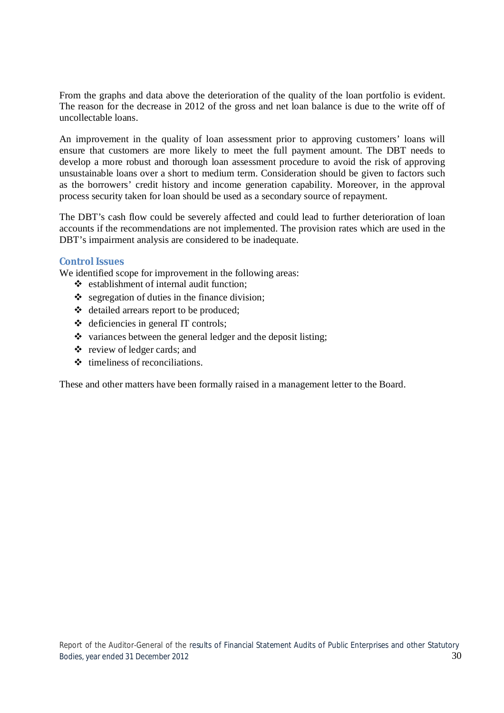From the graphs and data above the deterioration of the quality of the loan portfolio is evident. The reason for the decrease in 2012 of the gross and net loan balance is due to the write off of uncollectable loans.

An improvement in the quality of loan assessment prior to approving customers' loans will ensure that customers are more likely to meet the full payment amount. The DBT needs to develop a more robust and thorough loan assessment procedure to avoid the risk of approving unsustainable loans over a short to medium term. Consideration should be given to factors such as the borrowers' credit history and income generation capability. Moreover, in the approval process security taken for loan should be used as a secondary source of repayment.

The DBT's cash flow could be severely affected and could lead to further deterioration of loan accounts if the recommendations are not implemented. The provision rates which are used in the DBT's impairment analysis are considered to be inadequate.

#### **Control Issues**

We identified scope for improvement in the following areas:

- $\triangleleft$  establishment of internal audit function:
- $\bullet$  segregation of duties in the finance division;
- detailed arrears report to be produced;
- $\triangleleft$  deficiencies in general IT controls;
- $\bullet$  variances between the general ledger and the deposit listing;
- $\triangle$  review of ledger cards; and
- $\triangle$  timeliness of reconciliations.

These and other matters have been formally raised in a management letter to the Board.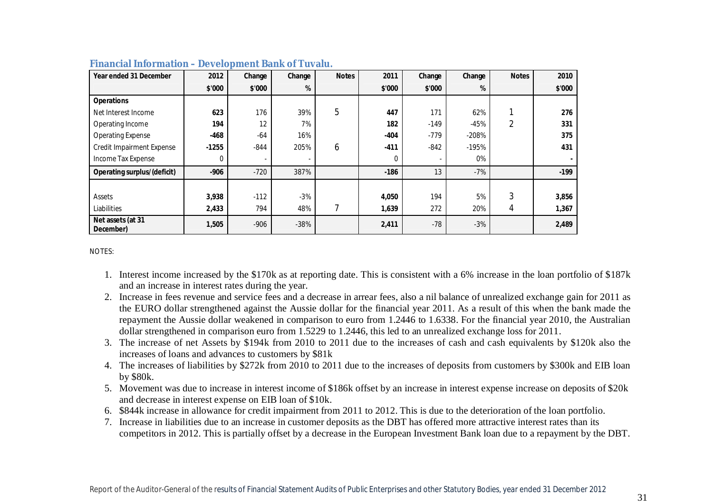| Year ended 31 December             | 2012    | Change | Change | <b>Notes</b> | 2011   | Change | Change  | <b>Notes</b>   | 2010   |
|------------------------------------|---------|--------|--------|--------------|--------|--------|---------|----------------|--------|
|                                    | \$'000  | \$'000 | %      |              | \$'000 | \$'000 | %       |                | \$'000 |
| <b>Operations</b>                  |         |        |        |              |        |        |         |                |        |
| Net Interest Income                | 623     | 176    | 39%    | 5            | 447    | 171    | 62%     |                | 276    |
| Operating Income                   | 194     | 12     | 7%     |              | 182    | $-149$ | $-45%$  | $\overline{2}$ | 331    |
| <b>Operating Expense</b>           | -468    | $-64$  | 16%    |              | $-404$ | $-779$ | $-208%$ |                | 375    |
| <b>Credit Impairment Expense</b>   | $-1255$ | $-844$ | 205%   | 6            | -411   | $-842$ | $-195%$ |                | 431    |
| Income Tax Expense                 | 0       |        |        |              | 0      |        | 0%      |                |        |
| <b>Operating surplus/(deficit)</b> | $-906$  | $-720$ | 387%   |              | $-186$ | 13     | $-7%$   |                | $-199$ |
|                                    |         |        |        |              |        |        |         |                |        |
| Assets                             | 3,938   | $-112$ | $-3%$  |              | 4,050  | 194    | 5%      | 3              | 3,856  |
| Liabilities                        | 2,433   | 794    | 48%    |              | 1,639  | 272    | 20%     | 4              | 1,367  |
| Net assets (at 31<br>December)     | 1,505   | $-906$ | $-38%$ |              | 2,411  | $-78$  | $-3%$   |                | 2,489  |

#### **Financial Information – Development Bank of Tuvalu.**

NOTES:

- 1. Interest income increased by the \$170k as at reporting date. This is consistent with a 6% increase in the loan portfolio of \$187k and an increase in interest rates during the year.
- 2. Increase in fees revenue and service fees and a decrease in arrear fees, also a nil balance of unrealized exchange gain for 2011 as the EURO dollar strengthened against the Aussie dollar for the financial year 2011. As a result of this when the bank made the repayment the Aussie dollar weakened in comparison to euro from 1.2446 to 1.6338. For the financial year 2010, the Australian dollar strengthened in comparison euro from 1.5229 to 1.2446, this led to an unrealized exchange loss for 2011.
- 3. The increase of net Assets by \$194k from 2010 to 2011 due to the increases of cash and cash equivalents by \$120k also the increases of loans and advances to customers by \$81k
- 4. The increases of liabilities by \$272k from 2010 to 2011 due to the increases of deposits from customers by \$300k and EIB loan by \$80k.
- 5. Movement was due to increase in interest income of \$186k offset by an increase in interest expense increase on deposits of \$20k and decrease in interest expense on EIB loan of \$10k.
- 6. \$844k increase in allowance for credit impairment from 2011 to 2012. This is due to the deterioration of the loan portfolio.
- 7. Increase in liabilities due to an increase in customer deposits as the DBT has offered more attractive interest rates than its competitors in 2012. This is partially offset by a decrease in the European Investment Bank loan due to a repayment by the DBT.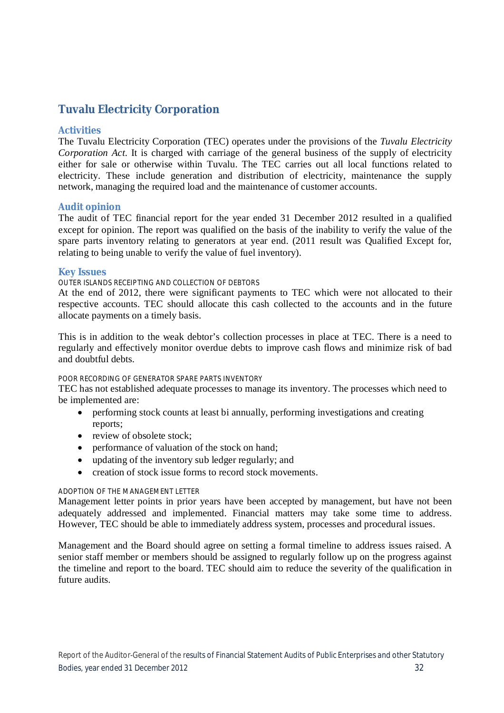### **Tuvalu Electricity Corporation**

#### **Activities**

The Tuvalu Electricity Corporation (TEC) operates under the provisions of the *Tuvalu Electricity Corporation Act*. It is charged with carriage of the general business of the supply of electricity either for sale or otherwise within Tuvalu. The TEC carries out all local functions related to electricity. These include generation and distribution of electricity, maintenance the supply network, managing the required load and the maintenance of customer accounts.

#### **Audit opinion**

The audit of TEC financial report for the year ended 31 December 2012 resulted in a qualified except for opinion. The report was qualified on the basis of the inability to verify the value of the spare parts inventory relating to generators at year end. (2011 result was Qualified Except for, relating to being unable to verify the value of fuel inventory).

#### **Key Issues**

#### OUTER ISLANDS RECEIPTING AND COLLECTION OF DEBTORS

At the end of 2012, there were significant payments to TEC which were not allocated to their respective accounts. TEC should allocate this cash collected to the accounts and in the future allocate payments on a timely basis.

This is in addition to the weak debtor's collection processes in place at TEC. There is a need to regularly and effectively monitor overdue debts to improve cash flows and minimize risk of bad and doubtful debts.

#### POOR RECORDING OF GENERATOR SPARE PARTS INVENTORY

TEC has not established adequate processes to manage its inventory. The processes which need to be implemented are:

- performing stock counts at least bi annually, performing investigations and creating reports;
- review of obsolete stock;
- performance of valuation of the stock on hand;
- updating of the inventory sub ledger regularly; and
- creation of stock issue forms to record stock movements.

#### ADOPTION OF THE MANAGEMENT LETTER

Management letter points in prior years have been accepted by management, but have not been adequately addressed and implemented. Financial matters may take some time to address. However, TEC should be able to immediately address system, processes and procedural issues.

Management and the Board should agree on setting a formal timeline to address issues raised. A senior staff member or members should be assigned to regularly follow up on the progress against the timeline and report to the board. TEC should aim to reduce the severity of the qualification in future audits.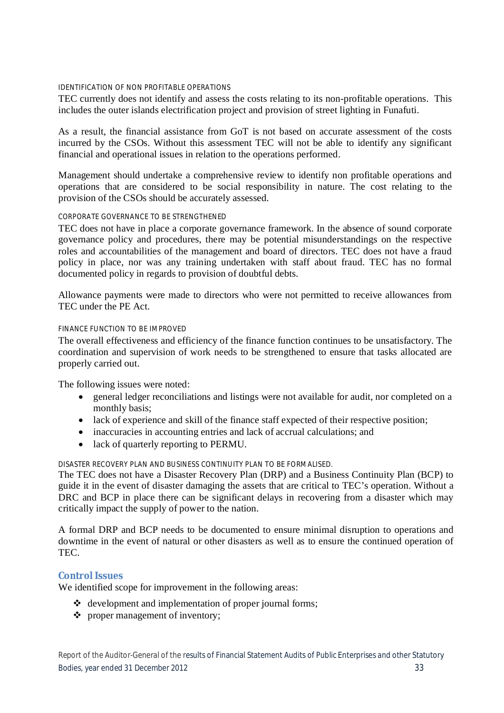#### IDENTIFICATION OF NON PROFITABLE OPERATIONS

TEC currently does not identify and assess the costs relating to its non-profitable operations. This includes the outer islands electrification project and provision of street lighting in Funafuti.

As a result, the financial assistance from GoT is not based on accurate assessment of the costs incurred by the CSOs. Without this assessment TEC will not be able to identify any significant financial and operational issues in relation to the operations performed.

Management should undertake a comprehensive review to identify non profitable operations and operations that are considered to be social responsibility in nature. The cost relating to the provision of the CSOs should be accurately assessed.

#### CORPORATE GOVERNANCE TO BE STRENGTHENED

TEC does not have in place a corporate governance framework. In the absence of sound corporate governance policy and procedures, there may be potential misunderstandings on the respective roles and accountabilities of the management and board of directors. TEC does not have a fraud policy in place, nor was any training undertaken with staff about fraud. TEC has no formal documented policy in regards to provision of doubtful debts.

Allowance payments were made to directors who were not permitted to receive allowances from TEC under the PE Act.

#### FINANCE FUNCTION TO BE IMPROVED

The overall effectiveness and efficiency of the finance function continues to be unsatisfactory. The coordination and supervision of work needs to be strengthened to ensure that tasks allocated are properly carried out.

The following issues were noted:

- general ledger reconciliations and listings were not available for audit, nor completed on a monthly basis;
- lack of experience and skill of the finance staff expected of their respective position;
- inaccuracies in accounting entries and lack of accrual calculations; and
- lack of quarterly reporting to PERMU.

DISASTER RECOVERY PLAN AND BUSINESS CONTINUITY PLAN TO BE FORMALISED.

The TEC does not have a Disaster Recovery Plan (DRP) and a Business Continuity Plan (BCP) to guide it in the event of disaster damaging the assets that are critical to TEC's operation. Without a DRC and BCP in place there can be significant delays in recovering from a disaster which may critically impact the supply of power to the nation.

A formal DRP and BCP needs to be documented to ensure minimal disruption to operations and downtime in the event of natural or other disasters as well as to ensure the continued operation of TEC.

#### **Control Issues**

We identified scope for improvement in the following areas:

- $\triangleleft$  development and implementation of proper journal forms;
- proper management of inventory;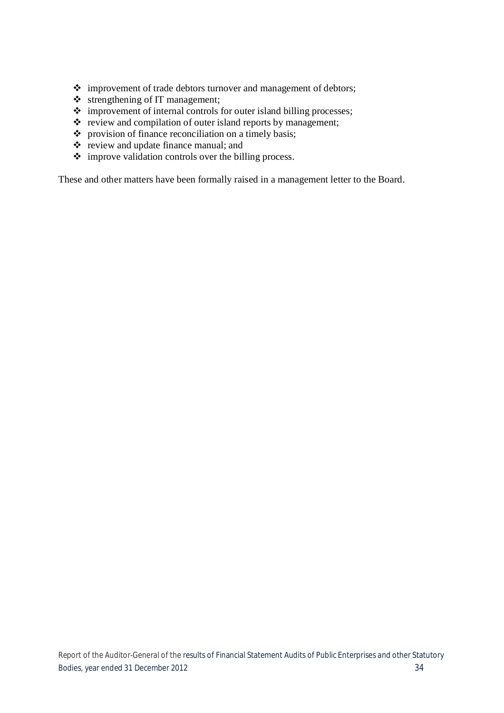- improvement of trade debtors turnover and management of debtors;
- $\triangleleft$  strengthening of IT management;
- $\div$  improvement of internal controls for outer island billing processes;
- $\cdot \cdot$  review and compilation of outer island reports by management;
- provision of finance reconciliation on a timely basis;
- \* review and update finance manual; and
- improve validation controls over the billing process.

These and other matters have been formally raised in a management letter to the Board.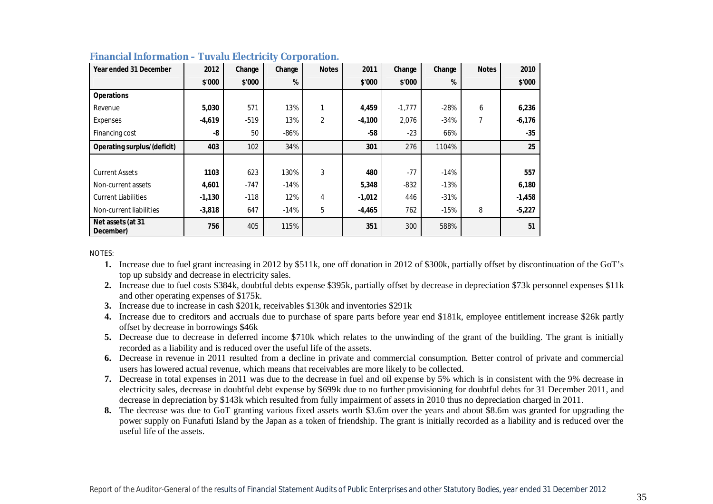| Year ended 31 December             | 2012     | Change | Change | <b>Notes</b>   | 2011     | Change   | Change | <b>Notes</b> | 2010     |
|------------------------------------|----------|--------|--------|----------------|----------|----------|--------|--------------|----------|
|                                    | \$'000   | \$'000 | %      |                | \$'000   | \$'000   | %      |              | \$'000   |
| <b>Operations</b>                  |          |        |        |                |          |          |        |              |          |
| Revenue                            | 5,030    | 571    | 13%    |                | 4,459    | $-1,777$ | $-28%$ | 6            | 6,236    |
| Expenses                           | $-4,619$ | $-519$ | 13%    | $\overline{2}$ | $-4,100$ | 2,076    | $-34%$ | 7            | $-6,176$ |
| Financing cost                     | -8       | 50     | $-86%$ |                | $-58$    | $-23$    | 66%    |              | $-35$    |
| <b>Operating surplus/(deficit)</b> | 403      | 102    | 34%    |                | 301      | 276      | 1104%  |              | 25       |
|                                    |          |        |        |                |          |          |        |              |          |
| <b>Current Assets</b>              | 1103     | 623    | 130%   | 3              | 480      | $-77$    | $-14%$ |              | 557      |
| Non-current assets                 | 4,601    | $-747$ | $-14%$ |                | 5,348    | $-832$   | $-13%$ |              | 6,180    |
| <b>Current Liabilities</b>         | $-1,130$ | $-118$ | 12%    | 4              | $-1,012$ | 446      | $-31%$ |              | $-1,458$ |
| Non-current liabilities            | $-3,818$ | 647    | $-14%$ | 5              | $-4,465$ | 762      | $-15%$ | 8            | $-5,227$ |
| Net assets (at 31<br>December)     | 756      | 405    | 115%   |                | 351      | 300      | 588%   |              | 51       |

#### **Financial Information – Tuvalu Electricity Corporation.**

NOTES:

- **1.** Increase due to fuel grant increasing in 2012 by \$511k, one off donation in 2012 of \$300k, partially offset by discontinuation of the GoT's top up subsidy and decrease in electricity sales.
- **2.** Increase due to fuel costs \$384k, doubtful debts expense \$395k, partially offset by decrease in depreciation \$73k personnel expenses \$11k and other operating expenses of \$175k.
- **3.** Increase due to increase in cash \$201k, receivables \$130k and inventories \$291k
- **4.** Increase due to creditors and accruals due to purchase of spare parts before year end \$181k, employee entitlement increase \$26k partly offset by decrease in borrowings \$46k
- **5.** Decrease due to decrease in deferred income \$710k which relates to the unwinding of the grant of the building. The grant is initially recorded as a liability and is reduced over the useful life of the assets.
- **6.** Decrease in revenue in 2011 resulted from a decline in private and commercial consumption. Better control of private and commercial users has lowered actual revenue, which means that receivables are more likely to be collected.
- **7.** Decrease in total expenses in 2011 was due to the decrease in fuel and oil expense by 5% which is in consistent with the 9% decrease in electricity sales, decrease in doubtful debt expense by \$699k due to no further provisioning for doubtful debts for 31 December 2011, and decrease in depreciation by \$143k which resulted from fully impairment of assets in 2010 thus no depreciation charged in 2011.
- **8.** The decrease was due to GoT granting various fixed assets worth \$3.6m over the years and about \$8.6m was granted for upgrading the power supply on Funafuti Island by the Japan as a token of friendship. The grant is initially recorded as a liability and is reduced over the useful life of the assets.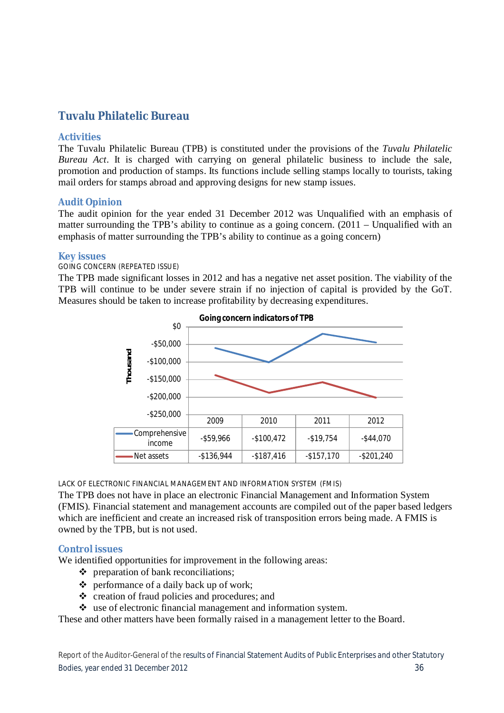### **Tuvalu Philatelic Bureau**

#### **Activities**

The Tuvalu Philatelic Bureau (TPB) is constituted under the provisions of the *Tuvalu Philatelic Bureau Act*. It is charged with carrying on general philatelic business to include the sale, promotion and production of stamps. Its functions include selling stamps locally to tourists, taking mail orders for stamps abroad and approving designs for new stamp issues.

#### **Audit Opinion**

The audit opinion for the year ended 31 December 2012 was Unqualified with an emphasis of matter surrounding the TPB's ability to continue as a going concern. (2011 – Unqualified with an emphasis of matter surrounding the TPB's ability to continue as a going concern)

#### **Key issues**

#### GOING CONCERN (REPEATED ISSUE)

The TPB made significant losses in 2012 and has a negative net asset position. The viability of the TPB will continue to be under severe strain if no injection of capital is provided by the GoT. Measures should be taken to increase profitability by decreasing expenditures.



LACK OF ELECTRONIC FINANCIAL MANAGEMENT AND INFORMATION SYSTEM (FMIS)

The TPB does not have in place an electronic Financial Management and Information System (FMIS). Financial statement and management accounts are compiled out of the paper based ledgers which are inefficient and create an increased risk of transposition errors being made. A FMIS is owned by the TPB, but is not used.

#### **Control issues**

We identified opportunities for improvement in the following areas:

- $\div$  preparation of bank reconciliations;
- $\triangle$  performance of a daily back up of work;
- creation of fraud policies and procedures; and
- $\cdot$  use of electronic financial management and information system.

These and other matters have been formally raised in a management letter to the Board.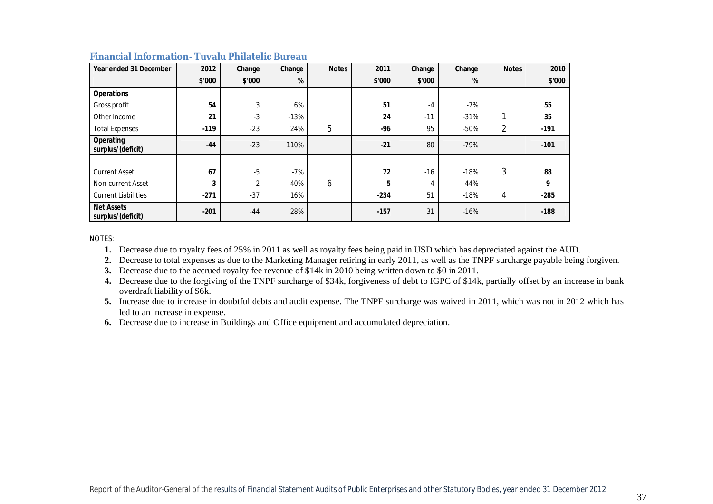| Year ended 31 December                 | 2012   | Change | Change | <b>Notes</b> | 2011   | Change | Change | <b>Notes</b> | 2010   |
|----------------------------------------|--------|--------|--------|--------------|--------|--------|--------|--------------|--------|
|                                        | \$'000 | \$'000 | %      |              | \$'000 | \$'000 | %      |              | \$'000 |
| <b>Operations</b>                      |        |        |        |              |        |        |        |              |        |
| Gross profit                           | 54     | 3      | 6%     |              | 51     | $-4$   | $-7%$  |              | 55     |
| Other Income                           | 21     | $-3$   | $-13%$ |              | 24     | $-11$  | $-31%$ |              | 35     |
| <b>Total Expenses</b>                  | $-119$ | $-23$  | 24%    | 5            | -96    | 95     | $-50%$ | 2            | $-191$ |
| Operating<br>surplus/(deficit)         | $-44$  | $-23$  | 110%   |              | $-21$  | 80     | $-79%$ |              | $-101$ |
|                                        |        |        |        |              |        |        |        |              |        |
| <b>Current Asset</b>                   | 67     | $-5$   | $-7%$  |              | 72     | $-16$  | $-18%$ | 3            | 88     |
| Non-current Asset                      | 3      | $-2$   | $-40%$ | 6            | 5      | $-4$   | $-44%$ |              | 9      |
| <b>Current Liabilities</b>             | $-271$ | $-37$  | 16%    |              | $-234$ | 51     | $-18%$ | 4            | $-285$ |
| <b>Net Assets</b><br>surplus/(deficit) | $-201$ | $-44$  | 28%    |              | $-157$ | 31     | $-16%$ |              | $-188$ |

#### **Financial Information- Tuvalu Philatelic Bureau**

NOTES:

**1.** Decrease due to royalty fees of 25% in 2011 as well as royalty fees being paid in USD which has depreciated against the AUD.

**2.** Decrease to total expenses as due to the Marketing Manager retiring in early 2011, as well as the TNPF surcharge payable being forgiven.

**3.** Decrease due to the accrued royalty fee revenue of \$14k in 2010 being written down to \$0 in 2011.

**4.** Decrease due to the forgiving of the TNPF surcharge of \$34k, forgiveness of debt to IGPC of \$14k, partially offset by an increase in bank overdraft liability of \$6k.

**5.** Increase due to increase in doubtful debts and audit expense. The TNPF surcharge was waived in 2011, which was not in 2012 which has led to an increase in expense.

**6.** Decrease due to increase in Buildings and Office equipment and accumulated depreciation.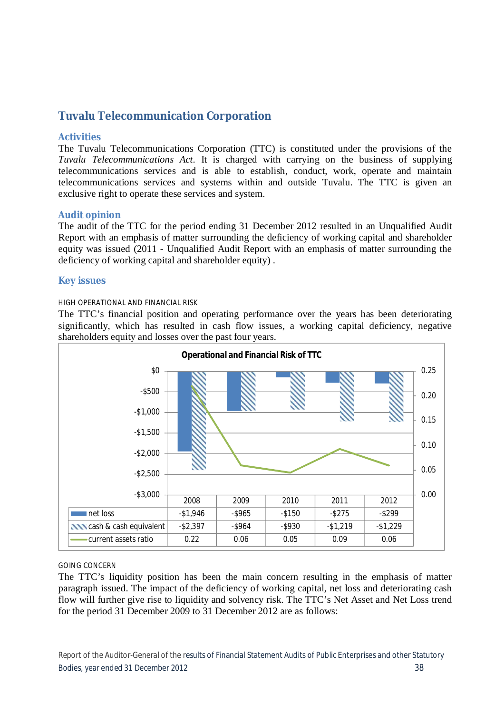### **Tuvalu Telecommunication Corporation**

#### **Activities**

The Tuvalu Telecommunications Corporation (TTC) is constituted under the provisions of the *Tuvalu Telecommunications Act*. It is charged with carrying on the business of supplying telecommunications services and is able to establish, conduct, work, operate and maintain telecommunications services and systems within and outside Tuvalu. The TTC is given an exclusive right to operate these services and system.

#### **Audit opinion**

The audit of the TTC for the period ending 31 December 2012 resulted in an Unqualified Audit Report with an emphasis of matter surrounding the deficiency of working capital and shareholder equity was issued (2011 - Unqualified Audit Report with an emphasis of matter surrounding the deficiency of working capital and shareholder equity) .

#### **Key issues**

#### HIGH OPERATIONAL AND FINANCIAL RISK

The TTC's financial position and operating performance over the years has been deteriorating significantly, which has resulted in cash flow issues, a working capital deficiency, negative shareholders equity and losses over the past four years.



#### GOING CONCERN

The TTC's liquidity position has been the main concern resulting in the emphasis of matter paragraph issued. The impact of the deficiency of working capital, net loss and deteriorating cash flow will further give rise to liquidity and solvency risk. The TTC's Net Asset and Net Loss trend for the period 31 December 2009 to 31 December 2012 are as follows: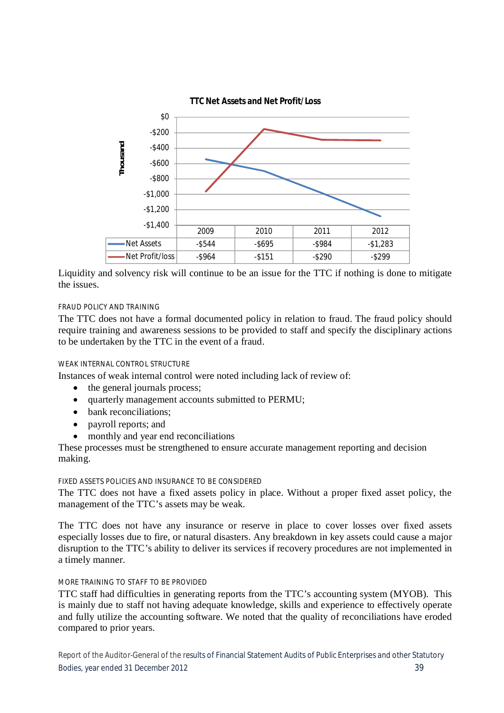

Liquidity and solvency risk will continue to be an issue for the TTC if nothing is done to mitigate the issues.

#### FRAUD POLICY AND TRAINING

The TTC does not have a formal documented policy in relation to fraud. The fraud policy should require training and awareness sessions to be provided to staff and specify the disciplinary actions to be undertaken by the TTC in the event of a fraud.

#### WEAK INTERNAL CONTROL STRUCTURE

Instances of weak internal control were noted including lack of review of:

- the general journals process;
- quarterly management accounts submitted to PERMU;
- bank reconciliations;
- payroll reports; and
- monthly and year end reconciliations

These processes must be strengthened to ensure accurate management reporting and decision making.

#### FIXED ASSETS POLICIES AND INSURANCE TO BE CONSIDERED

The TTC does not have a fixed assets policy in place. Without a proper fixed asset policy, the management of the TTC's assets may be weak.

The TTC does not have any insurance or reserve in place to cover losses over fixed assets especially losses due to fire, or natural disasters. Any breakdown in key assets could cause a major disruption to the TTC's ability to deliver its services if recovery procedures are not implemented in a timely manner.

#### MORE TRAINING TO STAFF TO BE PROVIDED

TTC staff had difficulties in generating reports from the TTC's accounting system (MYOB). This is mainly due to staff not having adequate knowledge, skills and experience to effectively operate and fully utilize the accounting software. We noted that the quality of reconciliations have eroded compared to prior years.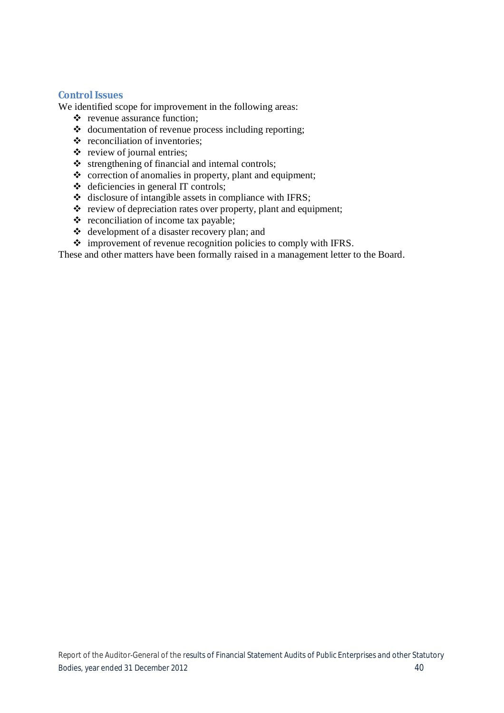#### **Control Issues**

We identified scope for improvement in the following areas:

- $\triangle$  revenue assurance function;
- $\triangleleft$  documentation of revenue process including reporting;
- $\div$  reconciliation of inventories;
- $\div$  review of journal entries;
- $\triangle$  strengthening of financial and internal controls;
- $\triangle$  correction of anomalies in property, plant and equipment;
- $\triangleleft$  deficiencies in general IT controls;
- disclosure of intangible assets in compliance with IFRS;
- \* review of depreciation rates over property, plant and equipment;
- $\triangleleft$  reconciliation of income tax payable;
- development of a disaster recovery plan; and
- $\triangleq$  improvement of revenue recognition policies to comply with IFRS.

These and other matters have been formally raised in a management letter to the Board.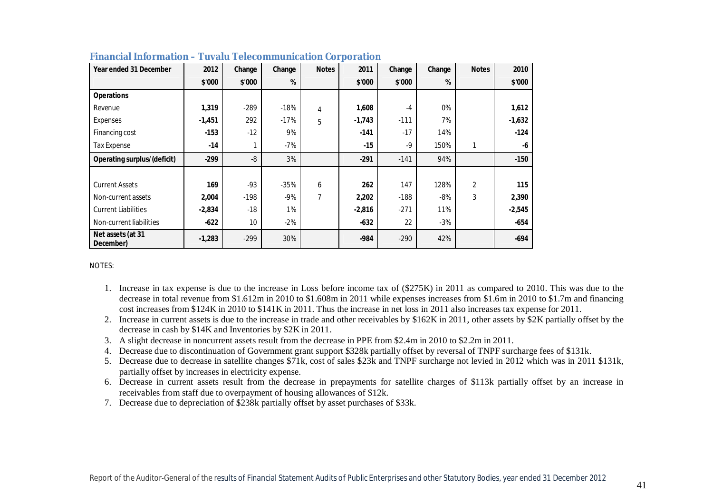| Year ended 31 December             | 2012     | Change | Change | <b>Notes</b> | 2011     | Change | Change | <b>Notes</b> | 2010     |
|------------------------------------|----------|--------|--------|--------------|----------|--------|--------|--------------|----------|
|                                    | \$'000   | \$'000 | %      |              | \$'000   | \$'000 | %      |              | \$'000   |
| <b>Operations</b>                  |          |        |        |              |          |        |        |              |          |
| Revenue                            | 1,319    | $-289$ | $-18%$ | 4            | 1,608    | $-4$   | 0%     |              | 1,612    |
| Expenses                           | $-1,451$ | 292    | $-17%$ | 5            | $-1,743$ | $-111$ | 7%     |              | $-1,632$ |
| Financing cost                     | $-153$   | $-12$  | 9%     |              | $-141$   | $-17$  | 14%    |              | $-124$   |
| <b>Tax Expense</b>                 | $-14$    |        | $-7%$  |              | $-15$    | $-9$   | 150%   |              | -6       |
| <b>Operating surplus/(deficit)</b> | $-299$   | $-8$   | 3%     |              | $-291$   | $-141$ | 94%    |              | $-150$   |
|                                    |          |        |        |              |          |        |        |              |          |
| <b>Current Assets</b>              | 169      | $-93$  | $-35%$ | 6            | 262      | 147    | 128%   | 2            | 115      |
| Non-current assets                 | 2,004    | $-198$ | $-9%$  | 7            | 2,202    | $-188$ | $-8%$  | 3            | 2,390    |
| <b>Current Liabilities</b>         | $-2,834$ | $-18$  | 1%     |              | $-2,816$ | $-271$ | 11%    |              | $-2,545$ |
| Non-current liabilities            | $-622$   | 10     | $-2%$  |              | $-632$   | 22     | $-3%$  |              | $-654$   |
| Net assets (at 31<br>December)     | $-1,283$ | $-299$ | 30%    |              | $-984$   | $-290$ | 42%    |              | $-694$   |

| <b>Financial Information - Tuvalu Telecommunication Corporation</b> |  |  |
|---------------------------------------------------------------------|--|--|
|---------------------------------------------------------------------|--|--|

NOTES:

- 1. Increase in tax expense is due to the increase in Loss before income tax of (\$275K) in 2011 as compared to 2010. This was due to the decrease in total revenue from \$1.612m in 2010 to \$1.608m in 2011 while expenses increases from \$1.6m in 2010 to \$1.7m and financing cost increases from \$124K in 2010 to \$141K in 2011. Thus the increase in net loss in 2011 also increases tax expense for 2011.
- 2. Increase in current assets is due to the increase in trade and other receivables by \$162K in 2011, other assets by \$2K partially offset by the decrease in cash by \$14K and Inventories by \$2K in 2011.
- 3. A slight decrease in noncurrent assets result from the decrease in PPE from \$2.4m in 2010 to \$2.2m in 2011.
- 4. Decrease due to discontinuation of Government grant support \$328k partially offset by reversal of TNPF surcharge fees of \$131k.
- 5. Decrease due to decrease in satellite changes \$71k, cost of sales \$23k and TNPF surcharge not levied in 2012 which was in 2011 \$131k, partially offset by increases in electricity expense.
- 6. Decrease in current assets result from the decrease in prepayments for satellite charges of \$113k partially offset by an increase in receivables from staff due to overpayment of housing allowances of \$12k.
- 7. Decrease due to depreciation of \$238k partially offset by asset purchases of \$33k.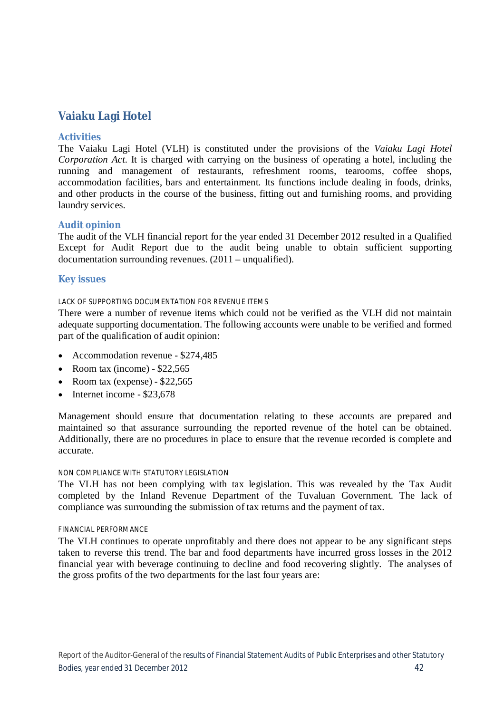### **Vaiaku Lagi Hotel**

#### **Activities**

The Vaiaku Lagi Hotel (VLH) is constituted under the provisions of the *Vaiaku Lagi Hotel Corporation Act*. It is charged with carrying on the business of operating a hotel, including the running and management of restaurants, refreshment rooms, tearooms, coffee shops, accommodation facilities, bars and entertainment. Its functions include dealing in foods, drinks, and other products in the course of the business, fitting out and furnishing rooms, and providing laundry services.

#### **Audit opinion**

The audit of the VLH financial report for the year ended 31 December 2012 resulted in a Qualified Except for Audit Report due to the audit being unable to obtain sufficient supporting documentation surrounding revenues.  $(2011 - \text{unqualified}).$ 

#### **Key issues**

#### LACK OF SUPPORTING DOCUMENTATION FOR REVENUE ITEMS

There were a number of revenue items which could not be verified as the VLH did not maintain adequate supporting documentation. The following accounts were unable to be verified and formed part of the qualification of audit opinion:

- Accommodation revenue \$274,485
- Room tax (income)  $$22.565$
- Room tax (expense)  $$22,565$
- $\bullet$  Internet income \$23,678

Management should ensure that documentation relating to these accounts are prepared and maintained so that assurance surrounding the reported revenue of the hotel can be obtained. Additionally, there are no procedures in place to ensure that the revenue recorded is complete and accurate.

#### NON COMPLIANCE WITH STATUTORY LEGISLATION

The VLH has not been complying with tax legislation. This was revealed by the Tax Audit completed by the Inland Revenue Department of the Tuvaluan Government. The lack of compliance was surrounding the submission of tax returns and the payment of tax.

#### FINANCIAL PERFORMANCE

The VLH continues to operate unprofitably and there does not appear to be any significant steps taken to reverse this trend. The bar and food departments have incurred gross losses in the 2012 financial year with beverage continuing to decline and food recovering slightly. The analyses of the gross profits of the two departments for the last four years are: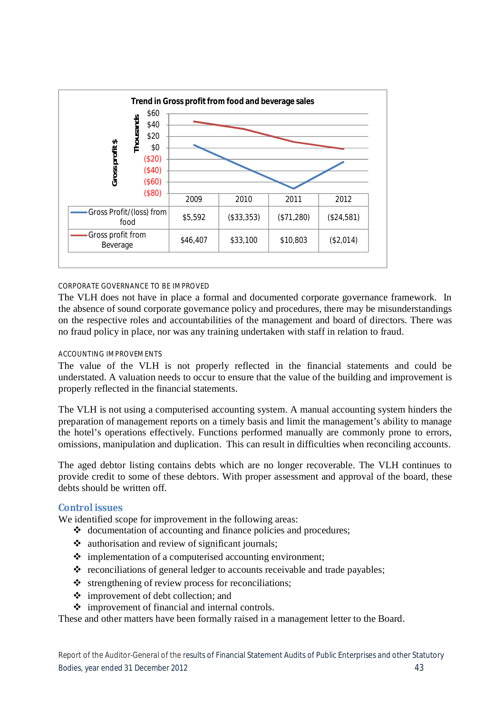

#### CORPORATE GOVERNANCE TO BE IMPROVED

The VLH does not have in place a formal and documented corporate governance framework. In the absence of sound corporate governance policy and procedures, there may be misunderstandings on the respective roles and accountabilities of the management and board of directors. There was no fraud policy in place, nor was any training undertaken with staff in relation to fraud.

#### ACCOUNTING IMPROVEMENTS

The value of the VLH is not properly reflected in the financial statements and could be understated. A valuation needs to occur to ensure that the value of the building and improvement is properly reflected in the financial statements.

The VLH is not using a computerised accounting system. A manual accounting system hinders the preparation of management reports on a timely basis and limit the management's ability to manage the hotel's operations effectively. Functions performed manually are commonly prone to errors, omissions, manipulation and duplication. This can result in difficulties when reconciling accounts.

The aged debtor listing contains debts which are no longer recoverable. The VLH continues to provide credit to some of these debtors. With proper assessment and approval of the board, these debts should be written off.

#### **Control issues**

We identified scope for improvement in the following areas:

- $\triangleleft$  documentation of accounting and finance policies and procedures;
- $\triangleleft$  authorisation and review of significant journals;
- $\triangleq$  implementation of a computerised accounting environment;
- $\triangle$  reconciliations of general ledger to accounts receivable and trade payables;
- $\triangle$  strengthening of review process for reconciliations;
- $\div$  improvement of debt collection; and
- improvement of financial and internal controls.

These and other matters have been formally raised in a management letter to the Board.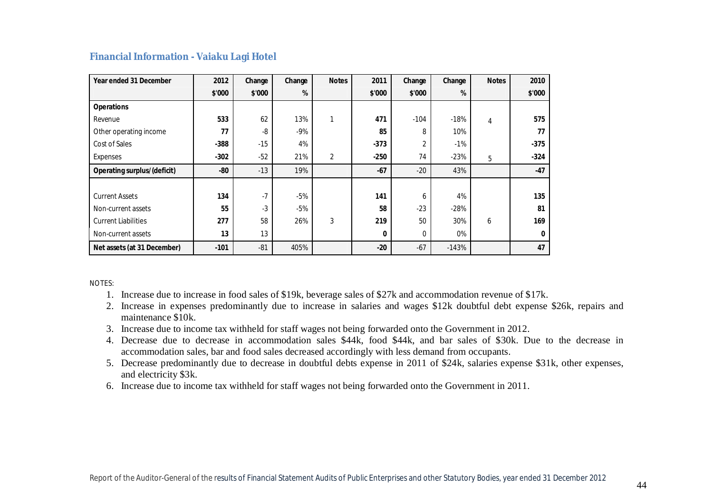#### **Financial Information - Vaiaku Lagi Hotel**

| Year ended 31 December             | 2012   | Change | Change | <b>Notes</b>   | 2011     | Change | Change  | <b>Notes</b> | 2010         |
|------------------------------------|--------|--------|--------|----------------|----------|--------|---------|--------------|--------------|
|                                    | \$'000 | \$'000 | %      |                | \$'000   | \$'000 | %       |              | \$'000       |
| <b>Operations</b>                  |        |        |        |                |          |        |         |              |              |
| Revenue                            | 533    | 62     | 13%    |                | 471      | $-104$ | $-18%$  | 4            | 575          |
| Other operating income             | 77     | -8     | $-9%$  |                | 85       | 8      | 10%     |              | 77           |
| Cost of Sales                      | $-388$ | $-15$  | 4%     |                | $-373$   | 2      | $-1%$   |              | $-375$       |
| Expenses                           | $-302$ | $-52$  | 21%    | $\overline{2}$ | $-250$   | 74     | $-23%$  | 5            | $-324$       |
| <b>Operating surplus/(deficit)</b> | -80    | $-13$  | 19%    |                | $-67$    | $-20$  | 43%     |              | $-47$        |
|                                    |        |        |        |                |          |        |         |              |              |
| <b>Current Assets</b>              | 134    | $-7$   | $-5%$  |                | 141      | 6      | 4%      |              | 135          |
| Non-current assets                 | 55     | -3     | $-5%$  |                | 58       | $-23$  | $-28%$  |              | 81           |
| <b>Current Liabilities</b>         | 277    | 58     | 26%    | 3              | 219      | 50     | 30%     | 6            | 169          |
| Non-current assets                 | 13     | 13     |        |                | $\bf{0}$ | 0      | 0%      |              | $\mathbf{0}$ |
| Net assets (at 31 December)        | $-101$ | $-81$  | 405%   |                | $-20$    | $-67$  | $-143%$ |              | 47           |

NOTES:

- 1. Increase due to increase in food sales of \$19k, beverage sales of \$27k and accommodation revenue of \$17k.
- 2. Increase in expenses predominantly due to increase in salaries and wages \$12k doubtful debt expense \$26k, repairs and maintenance \$10k.
- 3. Increase due to income tax withheld for staff wages not being forwarded onto the Government in 2012.
- 4. Decrease due to decrease in accommodation sales \$44k, food \$44k, and bar sales of \$30k. Due to the decrease in accommodation sales, bar and food sales decreased accordingly with less demand from occupants.
- 5. Decrease predominantly due to decrease in doubtful debts expense in 2011 of \$24k, salaries expense \$31k, other expenses, and electricity \$3k.
- 6. Increase due to income tax withheld for staff wages not being forwarded onto the Government in 2011.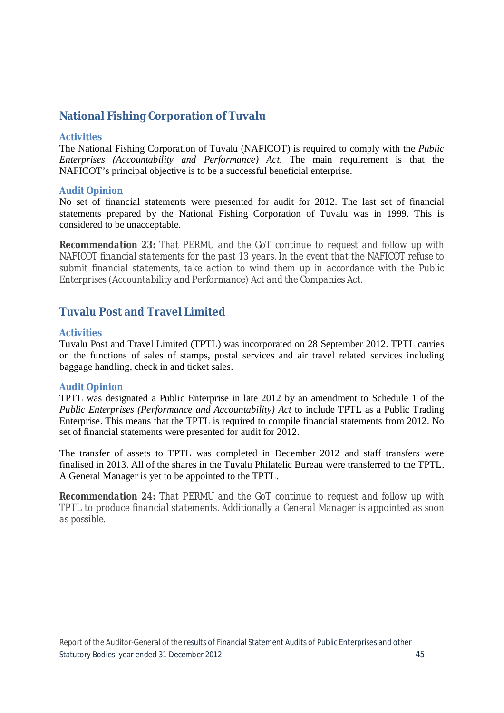### **National Fishing Corporation of Tuvalu**

#### **Activities**

The National Fishing Corporation of Tuvalu (NAFICOT) is required to comply with the *Public Enterprises (Accountability and Performance) Act*. The main requirement is that the NAFICOT's principal objective is to be a successful beneficial enterprise.

#### **Audit Opinion**

No set of financial statements were presented for audit for 2012. The last set of financial statements prepared by the National Fishing Corporation of Tuvalu was in 1999. This is considered to be unacceptable.

*Recommendation 23: That PERMU and the GoT continue to request and follow up with NAFICOT financial statements for the past 13 years. In the event that the NAFICOT refuse to submit financial statements, take action to wind them up in accordance with the Public Enterprises (Accountability and Performance) Act and the Companies Act.* 

### **Tuvalu Post and Travel Limited**

#### **Activities**

Tuvalu Post and Travel Limited (TPTL) was incorporated on 28 September 2012. TPTL carries on the functions of sales of stamps, postal services and air travel related services including baggage handling, check in and ticket sales.

#### **Audit Opinion**

TPTL was designated a Public Enterprise in late 2012 by an amendment to Schedule 1 of the *Public Enterprises (Performance and Accountability) Act* to include TPTL as a Public Trading Enterprise. This means that the TPTL is required to compile financial statements from 2012. No set of financial statements were presented for audit for 2012.

The transfer of assets to TPTL was completed in December 2012 and staff transfers were finalised in 2013. All of the shares in the Tuvalu Philatelic Bureau were transferred to the TPTL. A General Manager is yet to be appointed to the TPTL.

*Recommendation 24: That PERMU and the GoT continue to request and follow up with TPTL to produce financial statements. Additionally a General Manager is appointed as soon as possible.*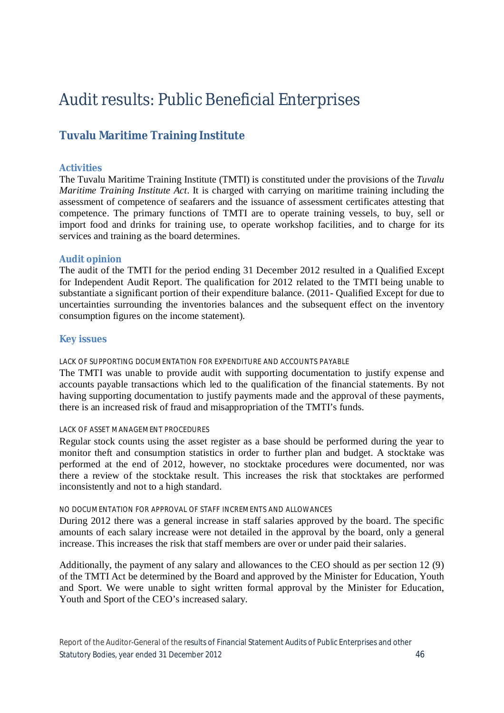# Audit results: Public Beneficial Enterprises

### **Tuvalu Maritime Training Institute**

#### **Activities**

The Tuvalu Maritime Training Institute (TMTI) is constituted under the provisions of the *Tuvalu Maritime Training Institute Act*. It is charged with carrying on maritime training including the assessment of competence of seafarers and the issuance of assessment certificates attesting that competence. The primary functions of TMTI are to operate training vessels, to buy, sell or import food and drinks for training use, to operate workshop facilities, and to charge for its services and training as the board determines.

#### **Audit opinion**

The audit of the TMTI for the period ending 31 December 2012 resulted in a Qualified Except for Independent Audit Report. The qualification for 2012 related to the TMTI being unable to substantiate a significant portion of their expenditure balance. (2011- Qualified Except for due to uncertainties surrounding the inventories balances and the subsequent effect on the inventory consumption figures on the income statement).

#### **Key issues**

#### LACK OF SUPPORTING DOCUMENTATION FOR EXPENDITURE AND ACCOUNTS PAYABLE

The TMTI was unable to provide audit with supporting documentation to justify expense and accounts payable transactions which led to the qualification of the financial statements. By not having supporting documentation to justify payments made and the approval of these payments, there is an increased risk of fraud and misappropriation of the TMTI's funds.

#### LACK OF ASSET MANAGEMENT PROCEDURES

Regular stock counts using the asset register as a base should be performed during the year to monitor theft and consumption statistics in order to further plan and budget. A stocktake was performed at the end of 2012, however, no stocktake procedures were documented, nor was there a review of the stocktake result. This increases the risk that stocktakes are performed inconsistently and not to a high standard.

#### NO DOCUMENTATION FOR APPROVAL OF STAFF INCREMENTS AND ALLOWANCES

During 2012 there was a general increase in staff salaries approved by the board. The specific amounts of each salary increase were not detailed in the approval by the board, only a general increase. This increases the risk that staff members are over or under paid their salaries.

Additionally, the payment of any salary and allowances to the CEO should as per section 12 (9) of the TMTI Act be determined by the Board and approved by the Minister for Education, Youth and Sport. We were unable to sight written formal approval by the Minister for Education, Youth and Sport of the CEO's increased salary.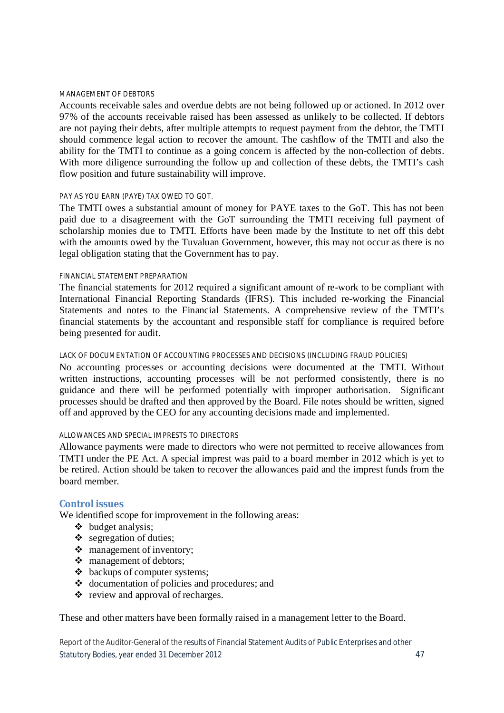#### MANAGEMENT OF DEBTORS

Accounts receivable sales and overdue debts are not being followed up or actioned. In 2012 over 97% of the accounts receivable raised has been assessed as unlikely to be collected. If debtors are not paying their debts, after multiple attempts to request payment from the debtor, the TMTI should commence legal action to recover the amount. The cashflow of the TMTI and also the ability for the TMTI to continue as a going concern is affected by the non-collection of debts. With more diligence surrounding the follow up and collection of these debts, the TMTI's cash flow position and future sustainability will improve.

#### PAY AS YOU EARN (PAYE) TAX OWED TO GOT.

The TMTI owes a substantial amount of money for PAYE taxes to the GoT. This has not been paid due to a disagreement with the GoT surrounding the TMTI receiving full payment of scholarship monies due to TMTI. Efforts have been made by the Institute to net off this debt with the amounts owed by the Tuvaluan Government, however, this may not occur as there is no legal obligation stating that the Government has to pay.

#### FINANCIAL STATEMENT PREPARATION

The financial statements for 2012 required a significant amount of re-work to be compliant with International Financial Reporting Standards (IFRS). This included re-working the Financial Statements and notes to the Financial Statements. A comprehensive review of the TMTI's financial statements by the accountant and responsible staff for compliance is required before being presented for audit.

#### LACK OF DOCUMENTATION OF ACCOUNTING PROCESSES AND DECISIONS (INCLUDING FRAUD POLICIES)

No accounting processes or accounting decisions were documented at the TMTI. Without written instructions, accounting processes will be not performed consistently, there is no guidance and there will be performed potentially with improper authorisation. Significant processes should be drafted and then approved by the Board. File notes should be written, signed off and approved by the CEO for any accounting decisions made and implemented.

#### ALLOWANCES AND SPECIAL IMPRESTS TO DIRECTORS

Allowance payments were made to directors who were not permitted to receive allowances from TMTI under the PE Act. A special imprest was paid to a board member in 2012 which is yet to be retired. Action should be taken to recover the allowances paid and the imprest funds from the board member.

#### **Control issues**

We identified scope for improvement in the following areas:

- $\triangleleft$  budget analysis;
- $\div$  segregation of duties;
- management of inventory;
- management of debtors:
- $\triangleleft$  backups of computer systems;
- documentation of policies and procedures; and
- $\bullet$  review and approval of recharges.

These and other matters have been formally raised in a management letter to the Board.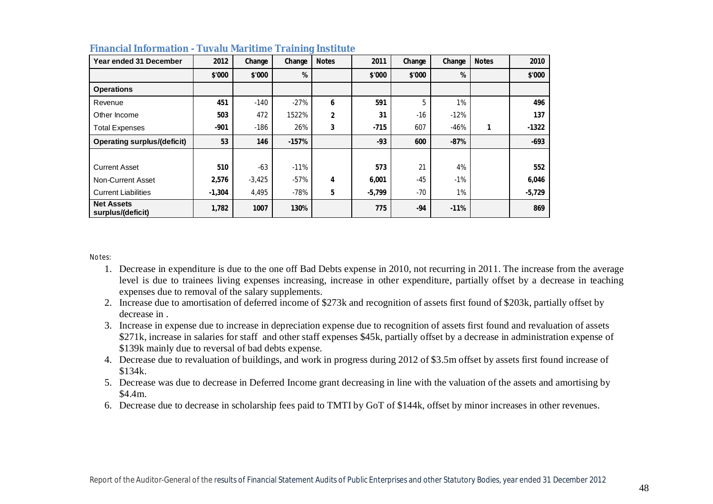| Year ended 31 December                 | 2012     | Change   | Change  | <b>Notes</b>   | 2011     | Change | Change | <b>Notes</b> | 2010     |
|----------------------------------------|----------|----------|---------|----------------|----------|--------|--------|--------------|----------|
|                                        | \$'000   | \$'000   | %       |                | \$'000   | \$'000 | %      |              | \$'000   |
| <b>Operations</b>                      |          |          |         |                |          |        |        |              |          |
| Revenue                                | 451      | $-140$   | $-27%$  | 6              | 591      | 5      | 1%     |              | 496      |
| Other Income                           | 503      | 472      | 1522%   | $\overline{2}$ | 31       | -16    | $-12%$ |              | 137      |
| <b>Total Expenses</b>                  | $-901$   | $-186$   | 26%     | 3              | $-715$   | 607    | $-46%$ |              | $-1322$  |
| <b>Operating surplus/(deficit)</b>     | 53       | 146      | $-157%$ |                | $-93$    | 600    | $-87%$ |              | $-693$   |
|                                        |          |          |         |                |          |        |        |              |          |
| <b>Current Asset</b>                   | 510      | $-63$    | $-11%$  |                | 573      | 21     | 4%     |              | 552      |
| Non-Current Asset                      | 2,576    | $-3,425$ | $-57%$  | 4              | 6,001    | $-45$  | $-1%$  |              | 6,046    |
| <b>Current Liabilities</b>             | $-1,304$ | 4,495    | $-78%$  | 5              | $-5,799$ | $-70$  | 1%     |              | $-5,729$ |
| <b>Net Assets</b><br>surplus/(deficit) | 1,782    | 1007     | 130%    |                | 775      | $-94$  | $-11%$ |              | 869      |

#### **Financial Information - Tuvalu Maritime Training Institute**

Notes:

- 1. Decrease in expenditure is due to the one off Bad Debts expense in 2010, not recurring in 2011. The increase from the average level is due to trainees living expenses increasing, increase in other expenditure, partially offset by a decrease in teaching expenses due to removal of the salary supplements.
- 2. Increase due to amortisation of deferred income of \$273k and recognition of assets first found of \$203k, partially offset by decrease in .
- 3. Increase in expense due to increase in depreciation expense due to recognition of assets first found and revaluation of assets \$271k, increase in salaries for staff and other staff expenses \$45k, partially offset by a decrease in administration expense of \$139k mainly due to reversal of bad debts expense.
- 4. Decrease due to revaluation of buildings, and work in progress during 2012 of \$3.5m offset by assets first found increase of \$134k.
- 5. Decrease was due to decrease in Deferred Income grant decreasing in line with the valuation of the assets and amortising by \$4.4m.
- 6. Decrease due to decrease in scholarship fees paid to TMTI by GoT of \$144k, offset by minor increases in other revenues.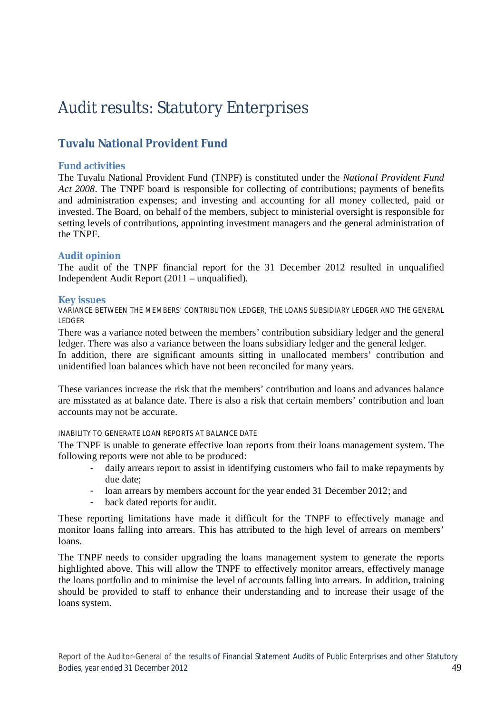# Audit results: Statutory Enterprises

### **Tuvalu National Provident Fund**

#### **Fund activities**

The Tuvalu National Provident Fund (TNPF) is constituted under the *National Provident Fund Act 2008*. The TNPF board is responsible for collecting of contributions; payments of benefits and administration expenses; and investing and accounting for all money collected, paid or invested. The Board, on behalf of the members, subject to ministerial oversight is responsible for setting levels of contributions, appointing investment managers and the general administration of the TNPF.

#### **Audit opinion**

The audit of the TNPF financial report for the 31 December 2012 resulted in unqualified Independent Audit Report (2011 – unqualified).

#### **Key issues**

VARIANCE BETWEEN THE MEMBERS' CONTRIBUTION LEDGER, THE LOANS SUBSIDIARY LEDGER AND THE GENERAL LEDGER

There was a variance noted between the members' contribution subsidiary ledger and the general ledger. There was also a variance between the loans subsidiary ledger and the general ledger.

In addition, there are significant amounts sitting in unallocated members' contribution and unidentified loan balances which have not been reconciled for many years.

These variances increase the risk that the members' contribution and loans and advances balance are misstated as at balance date. There is also a risk that certain members' contribution and loan accounts may not be accurate.

#### INABILITY TO GENERATE LOAN REPORTS AT BALANCE DATE

The TNPF is unable to generate effective loan reports from their loans management system. The following reports were not able to be produced:

- daily arrears report to assist in identifying customers who fail to make repayments by due date;
- loan arrears by members account for the year ended 31 December 2012; and
	- back dated reports for audit.

These reporting limitations have made it difficult for the TNPF to effectively manage and monitor loans falling into arrears. This has attributed to the high level of arrears on members' loans.

The TNPF needs to consider upgrading the loans management system to generate the reports highlighted above. This will allow the TNPF to effectively monitor arrears, effectively manage the loans portfolio and to minimise the level of accounts falling into arrears. In addition, training should be provided to staff to enhance their understanding and to increase their usage of the loans system.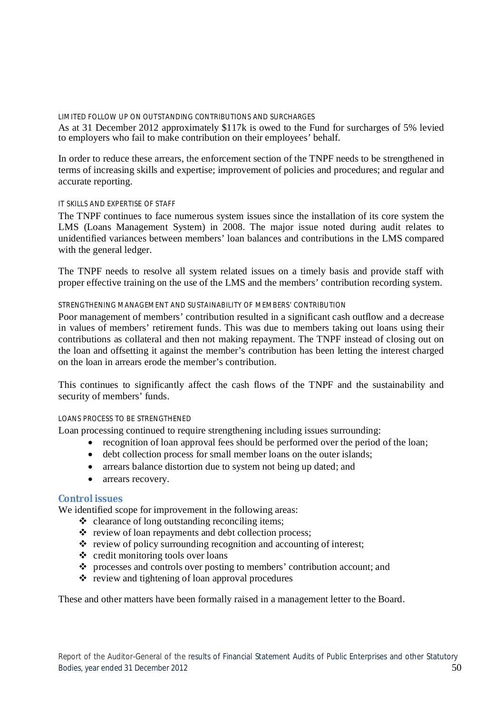#### LIMITED FOLLOW UP ON OUTSTANDING CONTRIBUTIONS AND SURCHARGES

As at 31 December 2012 approximately \$117k is owed to the Fund for surcharges of 5% levied to employers who fail to make contribution on their employees' behalf.

In order to reduce these arrears, the enforcement section of the TNPF needs to be strengthened in terms of increasing skills and expertise; improvement of policies and procedures; and regular and accurate reporting.

#### IT SKILLS AND EXPERTISE OF STAFF

The TNPF continues to face numerous system issues since the installation of its core system the LMS (Loans Management System) in 2008. The major issue noted during audit relates to unidentified variances between members' loan balances and contributions in the LMS compared with the general ledger.

The TNPF needs to resolve all system related issues on a timely basis and provide staff with proper effective training on the use of the LMS and the members' contribution recording system.

#### STRENGTHENING MANAGEMENT AND SUSTAINABILITY OF MEMBERS' CONTRIBUTION

Poor management of members' contribution resulted in a significant cash outflow and a decrease in values of members' retirement funds. This was due to members taking out loans using their contributions as collateral and then not making repayment. The TNPF instead of closing out on the loan and offsetting it against the member's contribution has been letting the interest charged on the loan in arrears erode the member's contribution.

This continues to significantly affect the cash flows of the TNPF and the sustainability and security of members' funds.

#### LOANS PROCESS TO BE STRENGTHENED

Loan processing continued to require strengthening including issues surrounding:

- recognition of loan approval fees should be performed over the period of the loan;
- debt collection process for small member loans on the outer islands;
- arrears balance distortion due to system not being up dated; and
- arrears recovery.

#### **Control issues**

We identified scope for improvement in the following areas:

- $\triangleleft$  clearance of long outstanding reconciling items;
- $\triangle$  review of loan repayments and debt collection process;
- review of policy surrounding recognition and accounting of interest;
- $\div$  credit monitoring tools over loans
- \* processes and controls over posting to members' contribution account; and
- $\cdot \cdot$  review and tightening of loan approval procedures

These and other matters have been formally raised in a management letter to the Board.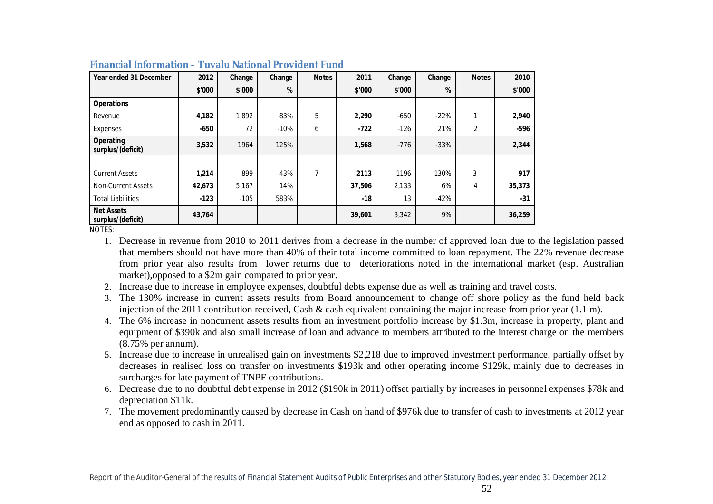| Year ended 31 December                 | 2012   | Change | Change | <b>Notes</b> | 2011   | Change | Change | <b>Notes</b> | 2010   |
|----------------------------------------|--------|--------|--------|--------------|--------|--------|--------|--------------|--------|
|                                        | \$'000 | \$'000 | %      |              | \$'000 | \$'000 | %      |              | \$'000 |
| <b>Operations</b>                      |        |        |        |              |        |        |        |              |        |
| Revenue                                | 4,182  | 1.892  | 83%    | 5            | 2,290  | $-650$ | $-22%$ |              | 2,940  |
| Expenses                               | $-650$ | 72     | $-10%$ | 6            | $-722$ | $-126$ | 21%    | 2            | -596   |
| Operating<br>surplus/(deficit)         | 3,532  | 1964   | 125%   |              | 1,568  | $-776$ | $-33%$ |              | 2,344  |
|                                        |        |        |        |              |        |        |        |              |        |
| <b>Current Assets</b>                  | 1,214  | $-899$ | $-43%$ | 7            | 2113   | 1196   | 130%   | 3            | 917    |
| Non-Current Assets                     | 42,673 | 5,167  | 14%    |              | 37,506 | 2,133  | 6%     | 4            | 35,373 |
| <b>Total Liabilities</b>               | $-123$ | $-105$ | 583%   |              | $-18$  | 13     | $-42%$ |              | $-31$  |
| <b>Net Assets</b><br>surplus/(deficit) | 43,764 |        |        |              | 39,601 | 3,342  | 9%     |              | 36,259 |

#### **Financial Information – Tuvalu National Provident Fund**

NOTES:

- 1. Decrease in revenue from 2010 to 2011 derives from a decrease in the number of approved loan due to the legislation passed that members should not have more than 40% of their total income committed to loan repayment. The 22% revenue decrease from prior year also results from lower returns due to deteriorations noted in the international market (esp. Australian market),opposed to a \$2m gain compared to prior year.
- 2. Increase due to increase in employee expenses, doubtful debts expense due as well as training and travel costs.
- 3. The 130% increase in current assets results from Board announcement to change off shore policy as the fund held back injection of the 2011 contribution received, Cash & cash equivalent containing the major increase from prior year (1.1 m).
- 4. The 6% increase in noncurrent assets results from an investment portfolio increase by \$1.3m, increase in property, plant and equipment of \$390k and also small increase of loan and advance to members attributed to the interest charge on the members (8.75% per annum).
- 5. Increase due to increase in unrealised gain on investments \$2,218 due to improved investment performance, partially offset by decreases in realised loss on transfer on investments \$193k and other operating income \$129k, mainly due to decreases in surcharges for late payment of TNPF contributions.
- 6. Decrease due to no doubtful debt expense in 2012 (\$190k in 2011) offset partially by increases in personnel expenses \$78k and depreciation \$11k.
- 7. The movement predominantly caused by decrease in Cash on hand of \$976k due to transfer of cash to investments at 2012 year end as opposed to cash in 2011.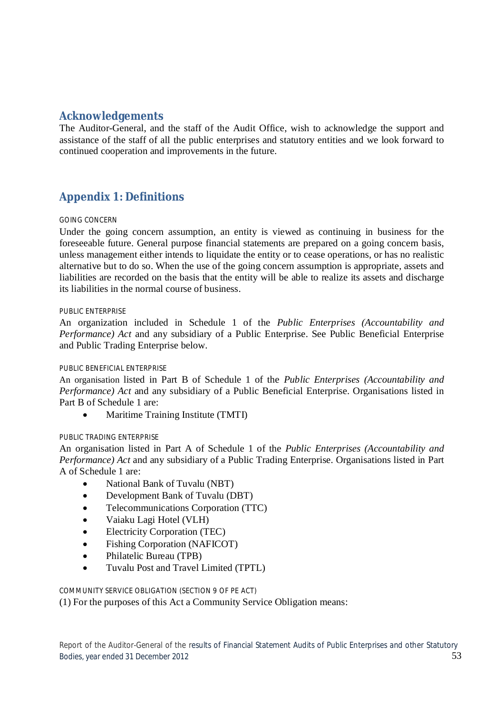### **Acknowledgements**

The Auditor-General, and the staff of the Audit Office, wish to acknowledge the support and assistance of the staff of all the public enterprises and statutory entities and we look forward to continued cooperation and improvements in the future.

### **Appendix 1: Definitions**

#### GOING CONCERN

Under the going concern assumption, an entity is viewed as continuing in business for the foreseeable future. General purpose financial statements are prepared on a going concern basis, unless management either intends to liquidate the entity or to cease operations, or has no realistic alternative but to do so. When the use of the going concern assumption is appropriate, assets and liabilities are recorded on the basis that the entity will be able to realize its assets and discharge its liabilities in the normal course of business.

#### PUBLIC ENTERPRISE

An organization included in Schedule 1 of the *Public Enterprises (Accountability and Performance) Act* and any subsidiary of a Public Enterprise. See Public Beneficial Enterprise and Public Trading Enterprise below.

#### PUBLIC BENEFICIAL ENTERPRISE

An organisation listed in Part B of Schedule 1 of the *Public Enterprises (Accountability and Performance) Act* and any subsidiary of a Public Beneficial Enterprise. Organisations listed in Part B of Schedule 1 are:

• Maritime Training Institute (TMTI)

#### PUBLIC TRADING ENTERPRISE

An organisation listed in Part A of Schedule 1 of the *Public Enterprises (Accountability and Performance) Act* and any subsidiary of a Public Trading Enterprise. Organisations listed in Part A of Schedule 1 are:

- National Bank of Tuvalu (NBT)
- Development Bank of Tuvalu (DBT)
- Telecommunications Corporation (TTC)
- Vaiaku Lagi Hotel (VLH)
- Electricity Corporation (TEC)
- Fishing Corporation (NAFICOT)
- Philatelic Bureau (TPB)
- Tuvalu Post and Travel Limited (TPTL)

COMMUNITY SERVICE OBLIGATION (SECTION 9 OF PE ACT)

(1) For the purposes of this Act a Community Service Obligation means: